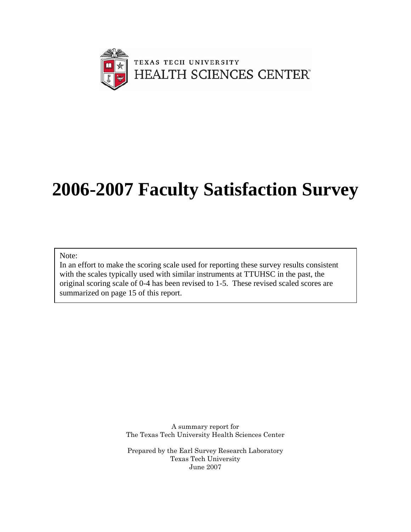

# **2006-2007 Faculty Satisfaction Survey**

Note:

In an effort to make the scoring scale used for reporting these survey results consistent with the scales typically used with similar instruments at TTUHSC in the past, the original scoring scale of 0-4 has been revised to 1-5. These revised scaled scores are summarized on page 15 of this report.

> A summary report for The Texas Tech University Health Sciences Center

> Prepared by the Earl Survey Research Laboratory Texas Tech University June 2007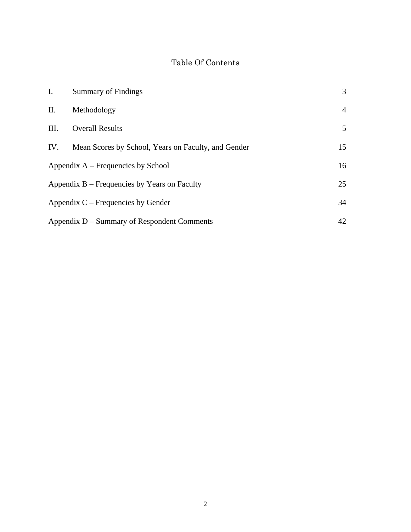# Table Of Contents

| $I_{\cdot}$ | <b>Summary of Findings</b>                          | 3              |
|-------------|-----------------------------------------------------|----------------|
| II.         | Methodology                                         | $\overline{4}$ |
| III.        | <b>Overall Results</b>                              | $5^{\circ}$    |
| IV.         | Mean Scores by School, Years on Faculty, and Gender | 15             |
|             | Appendix $A$ – Frequencies by School                | 16             |
|             | Appendix $B$ – Frequencies by Years on Faculty      | 25             |
|             | Appendix $C$ – Frequencies by Gender                | 34             |
|             | Appendix D – Summary of Respondent Comments         | 42             |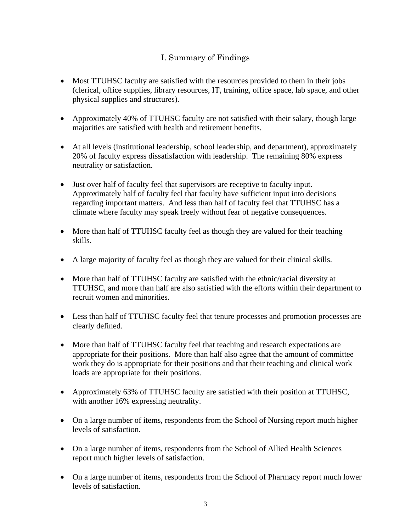#### I. Summary of Findings

- Most TTUHSC faculty are satisfied with the resources provided to them in their jobs (clerical, office supplies, library resources, IT, training, office space, lab space, and other physical supplies and structures).
- Approximately 40% of TTUHSC faculty are not satisfied with their salary, though large majorities are satisfied with health and retirement benefits.
- At all levels (institutional leadership, school leadership, and department), approximately 20% of faculty express dissatisfaction with leadership. The remaining 80% express neutrality or satisfaction.
- Just over half of faculty feel that supervisors are receptive to faculty input. Approximately half of faculty feel that faculty have sufficient input into decisions regarding important matters. And less than half of faculty feel that TTUHSC has a climate where faculty may speak freely without fear of negative consequences.
- More than half of TTUHSC faculty feel as though they are valued for their teaching skills.
- A large majority of faculty feel as though they are valued for their clinical skills.
- More than half of TTUHSC faculty are satisfied with the ethnic/racial diversity at TTUHSC, and more than half are also satisfied with the efforts within their department to recruit women and minorities.
- Less than half of TTUHSC faculty feel that tenure processes and promotion processes are clearly defined.
- More than half of TTUHSC faculty feel that teaching and research expectations are appropriate for their positions. More than half also agree that the amount of committee work they do is appropriate for their positions and that their teaching and clinical work loads are appropriate for their positions.
- Approximately 63% of TTUHSC faculty are satisfied with their position at TTUHSC, with another 16% expressing neutrality.
- On a large number of items, respondents from the School of Nursing report much higher levels of satisfaction.
- On a large number of items, respondents from the School of Allied Health Sciences report much higher levels of satisfaction.
- On a large number of items, respondents from the School of Pharmacy report much lower levels of satisfaction.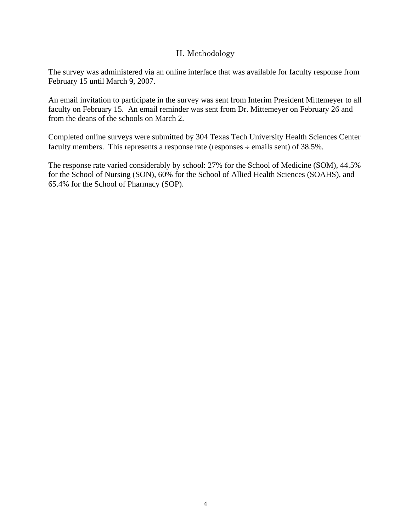#### II. Methodology

The survey was administered via an online interface that was available for faculty response from February 15 until March 9, 2007.

An email invitation to participate in the survey was sent from Interim President Mittemeyer to all faculty on February 15. An email reminder was sent from Dr. Mittemeyer on February 26 and from the deans of the schools on March 2.

Completed online surveys were submitted by 304 Texas Tech University Health Sciences Center faculty members. This represents a response rate (responses  $\div$  emails sent) of 38.5%.

The response rate varied considerably by school: 27% for the School of Medicine (SOM), 44.5% for the School of Nursing (SON), 60% for the School of Allied Health Sciences (SOAHS), and 65.4% for the School of Pharmacy (SOP).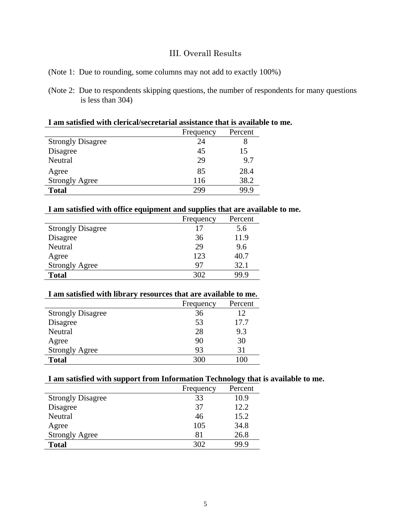#### III. Overall Results

- (Note 1: Due to rounding, some columns may not add to exactly 100%)
- (Note 2: Due to respondents skipping questions, the number of respondents for many questions is less than 304)

#### **I am satisfied with clerical/secretarial assistance that is available to me.**

| Frequency | Percent |
|-----------|---------|
| 24        |         |
| 45        | 15      |
| 29        | 9.7     |
| 85        | 28.4    |
| 116       | 38.2    |
| 299       | 99 9    |
|           |         |

#### **I am satisfied with office equipment and supplies that are available to me.**

|                          | Frequency | Percent |
|--------------------------|-----------|---------|
| <b>Strongly Disagree</b> | 17        | 5.6     |
| Disagree                 | 36        | 11.9    |
| Neutral                  | 29        | 9.6     |
| Agree                    | 123       | 40.7    |
| <b>Strongly Agree</b>    | 97        | 32.1    |
| <b>Total</b>             | 302       | 99 9    |

#### **I am satisfied with library resources that are available to me.**

|                          | Frequency | Percent |
|--------------------------|-----------|---------|
| <b>Strongly Disagree</b> | 36        | 12      |
| Disagree                 | 53        | 17.7    |
| Neutral                  | 28        | 9.3     |
| Agree                    | 90        | 30      |
| <b>Strongly Agree</b>    | 93        | 31      |
| <b>Total</b>             | 300       |         |

#### **I am satisfied with support from Information Technology that is available to me.**

|                          | Frequency | Percent |
|--------------------------|-----------|---------|
| <b>Strongly Disagree</b> | 33        | 10.9    |
| Disagree                 | 37        | 12.2    |
| Neutral                  | 46        | 15.2    |
| Agree                    | 105       | 34.8    |
| <b>Strongly Agree</b>    | 81        | 26.8    |
| <b>Total</b>             | 302       | 99 9    |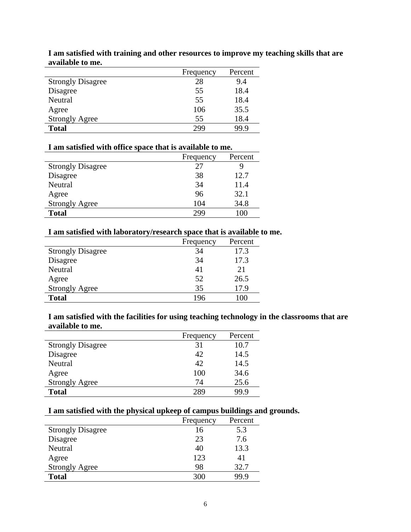|                          | Frequency | Percent |
|--------------------------|-----------|---------|
| <b>Strongly Disagree</b> | 28        | 9.4     |
| Disagree                 | 55        | 18.4    |
| Neutral                  | 55        | 18.4    |
| Agree                    | 106       | 35.5    |
| <b>Strongly Agree</b>    | 55        | 18.4    |
| <b>Total</b>             | 299       | 99 9    |

**I am satisfied with training and other resources to improve my teaching skills that are available to me.** 

#### **I am satisfied with office space that is available to me.**

|                          | Frequency | Percent |
|--------------------------|-----------|---------|
| <b>Strongly Disagree</b> | 27        | ч       |
| Disagree                 | 38        | 12.7    |
| Neutral                  | 34        | 11.4    |
| Agree                    | 96        | 32.1    |
| <b>Strongly Agree</b>    | 104       | 34.8    |
| <b>Total</b>             | 299       | 100     |

#### **I am satisfied with laboratory/research space that is available to me.**

|                          | Frequency | Percent |
|--------------------------|-----------|---------|
| <b>Strongly Disagree</b> | 34        | 17.3    |
| Disagree                 | 34        | 17.3    |
| Neutral                  | 41        | 21      |
| Agree                    | 52        | 26.5    |
| <b>Strongly Agree</b>    | 35        | 17.9    |
| <b>Total</b>             | 196       |         |

**I am satisfied with the facilities for using teaching technology in the classrooms that are available to me.** 

|                          | Frequency | Percent |
|--------------------------|-----------|---------|
| <b>Strongly Disagree</b> | 31        | 10.7    |
| Disagree                 | 42        | 14.5    |
| Neutral                  | 42        | 14.5    |
| Agree                    | 100       | 34.6    |
| <b>Strongly Agree</b>    | 74        | 25.6    |
| <b>Total</b>             | 289       | 99.9    |

#### **I am satisfied with the physical upkeep of campus buildings and grounds.**

|                          | Frequency | Percent |
|--------------------------|-----------|---------|
| <b>Strongly Disagree</b> | 16        | 5.3     |
| Disagree                 | 23        | 7.6     |
| Neutral                  | 40        | 13.3    |
| Agree                    | 123       | 41      |
| <b>Strongly Agree</b>    | 98        | 32.7    |
| <b>Total</b>             | 300       | 99.9    |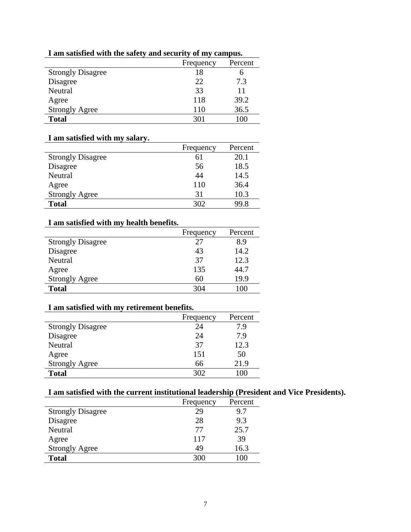|                          | Frequency | Percent |
|--------------------------|-----------|---------|
| <b>Strongly Disagree</b> | 18        | n       |
| Disagree                 | 22        | 7.3     |
| Neutral                  | 33        | 11      |
| Agree                    | 118       | 39.2    |
| <b>Strongly Agree</b>    | 110       | 36.5    |
| <b>Total</b>             | 301       | 100     |
|                          |           |         |

#### **I am satisfied with the safety and security of my campus.**

#### **I am satisfied with my salary.**

|                          | Frequency | Percent |
|--------------------------|-----------|---------|
| <b>Strongly Disagree</b> | 61        | 20.1    |
| Disagree                 | 56        | 18.5    |
| Neutral                  | 44        | 14.5    |
| Agree                    | 110       | 36.4    |
| <b>Strongly Agree</b>    | 31        | 10.3    |
| <b>Total</b>             | 302       | 99.8    |

#### **I am satisfied with my health benefits.**

|                          | Frequency | Percent |
|--------------------------|-----------|---------|
| <b>Strongly Disagree</b> | 27        | 8.9     |
| Disagree                 | 43        | 14.2    |
| Neutral                  | 37        | 12.3    |
| Agree                    | 135       | 44.7    |
| <b>Strongly Agree</b>    | 60        | 19.9    |
| <b>Total</b>             | 304       | 100     |

#### **I am satisfied with my retirement benefits.**

| I am sausited with my rethement benefits. |           |         |
|-------------------------------------------|-----------|---------|
|                                           | Frequency | Percent |
| <b>Strongly Disagree</b>                  | 24        | 7.9     |
| Disagree                                  | 24        | 7.9     |
| Neutral                                   | 37        | 12.3    |
| Agree                                     | 151       | 50      |
| <b>Strongly Agree</b>                     | 66        | 21.9    |
| <b>Total</b>                              | 302       | 100     |

#### **I am satisfied with the current institutional leadership (President and Vice Presidents).**

|                          | Frequency | Percent |
|--------------------------|-----------|---------|
| <b>Strongly Disagree</b> | 29        | 9.7     |
| Disagree                 | 28        | 9.3     |
| Neutral                  | 77        | 25.7    |
| Agree                    | 117       | 39      |
| <b>Strongly Agree</b>    | 49        | 16.3    |
| <b>Total</b>             | 300       |         |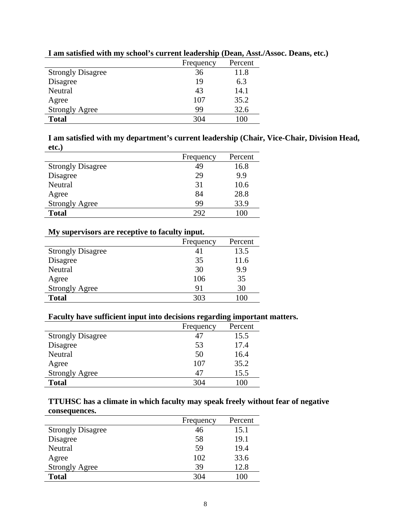|                          | Frequency | Percent |
|--------------------------|-----------|---------|
| <b>Strongly Disagree</b> | 36        | 11.8    |
| Disagree                 | 19        | 6.3     |
| Neutral                  | 43        | 14.1    |
| Agree                    | 107       | 35.2    |
| <b>Strongly Agree</b>    | 99        | 32.6    |
| <b>Total</b>             | 304       | 100     |

#### **I am satisfied with my school's current leadership (Dean, Asst./Assoc. Deans, etc.)**

**I am satisfied with my department's current leadership (Chair, Vice-Chair, Division Head, etc.)** 

|                          | Frequency | Percent |
|--------------------------|-----------|---------|
| <b>Strongly Disagree</b> | 49        | 16.8    |
| Disagree                 | 29        | 9.9     |
| Neutral                  | 31        | 10.6    |
| Agree                    | 84        | 28.8    |
| <b>Strongly Agree</b>    | 99        | 33.9    |
| <b>Total</b>             | 292       | 100     |

#### **My supervisors are receptive to faculty input.**

| Frequency | Percent |
|-----------|---------|
| 41        | 13.5    |
| 35        | 11.6    |
| 30        | 9.9     |
| 106       | 35      |
| 91        | 30      |
| 303       | 100     |
|           |         |

#### **Faculty have sufficient input into decisions regarding important matters.**

|                          | Frequency | Percent |
|--------------------------|-----------|---------|
| <b>Strongly Disagree</b> | 47        | 15.5    |
| Disagree                 | 53        | 17.4    |
| Neutral                  | 50        | 16.4    |
| Agree                    | 107       | 35.2    |
| <b>Strongly Agree</b>    | 47        | 15.5    |
| <b>Total</b>             | 304       | 100     |

#### **TTUHSC has a climate in which faculty may speak freely without fear of negative consequences.**

|                          | Frequency | Percent |
|--------------------------|-----------|---------|
| <b>Strongly Disagree</b> | 46        | 15.1    |
| Disagree                 | 58        | 19.1    |
| Neutral                  | 59        | 19.4    |
| Agree                    | 102       | 33.6    |
| <b>Strongly Agree</b>    | 39        | 12.8    |
| <b>Total</b>             | 304       | 100     |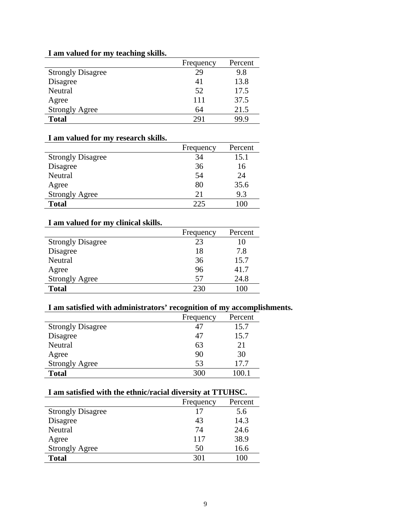#### **I am valued for my teaching skills.**

|                          | Frequency | Percent |
|--------------------------|-----------|---------|
| <b>Strongly Disagree</b> | 29        | 9.8     |
| Disagree                 | 41        | 13.8    |
| Neutral                  | 52        | 17.5    |
| Agree                    | 111       | 37.5    |
| <b>Strongly Agree</b>    | 64        | 21.5    |
| <b>Total</b>             | 291       | 99 9    |

#### **I am valued for my research skills.**

|                          | Frequency | Percent |
|--------------------------|-----------|---------|
| <b>Strongly Disagree</b> | 34        | 15.1    |
| Disagree                 | 36        | 16      |
| Neutral                  | 54        | 24      |
| Agree                    | 80        | 35.6    |
| <b>Strongly Agree</b>    | 21        | 9.3     |
| <b>Total</b>             | 225       |         |

#### **I am valued for my clinical skills.**

| T am vanitu for my chintaf skins. |           |         |
|-----------------------------------|-----------|---------|
|                                   | Frequency | Percent |
| <b>Strongly Disagree</b>          | 23        | 10      |
| Disagree                          | 18        | 7.8     |
| Neutral                           | 36        | 15.7    |
| Agree                             | 96        | 41.7    |
| <b>Strongly Agree</b>             | 57        | 24.8    |
| <b>Total</b>                      | 230       | .00     |
|                                   |           |         |

#### **I am satisfied with administrators' recognition of my accomplishments.**

|                          | Frequency | Percent |
|--------------------------|-----------|---------|
| <b>Strongly Disagree</b> | 47        | 15.7    |
| Disagree                 | 47        | 15.7    |
| Neutral                  | 63        | 21      |
| Agree                    | 90        | 30      |
| <b>Strongly Agree</b>    | 53        | 17.7    |
| <b>Total</b>             | 300       |         |

#### **I am satisfied with the ethnic/racial diversity at TTUHSC.**

|                          | Frequency | Percent |
|--------------------------|-----------|---------|
| <b>Strongly Disagree</b> |           | 5.6     |
| Disagree                 | 43        | 14.3    |
| Neutral                  | 74        | 24.6    |
| Agree                    | 117       | 38.9    |
| <b>Strongly Agree</b>    | 50        | 16.6    |
| <b>Total</b>             | 301       | 100     |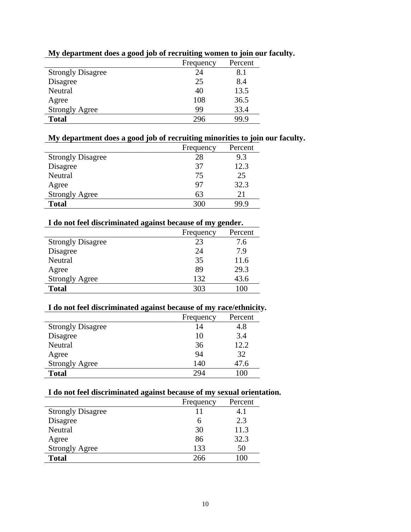|                          | Frequency | Percent |
|--------------------------|-----------|---------|
| <b>Strongly Disagree</b> | 24        | 8.1     |
| Disagree                 | 25        | 8.4     |
| Neutral                  | 40        | 13.5    |
| Agree                    | 108       | 36.5    |
| <b>Strongly Agree</b>    | 99        | 33.4    |
| <b>Total</b>             | 296       | 99.9    |

#### **My department does a good job of recruiting women to join our faculty.**

# **My department does a good job of recruiting minorities to join our faculty.**

|                          | Frequency | Percent |
|--------------------------|-----------|---------|
| <b>Strongly Disagree</b> | 28        | 9.3     |
| Disagree                 | 37        | 12.3    |
| Neutral                  | 75        | 25      |
| Agree                    | 97        | 32.3    |
| <b>Strongly Agree</b>    | 63        | 21      |
| <b>Total</b>             | 300       | 99 9    |

#### **I do not feel discriminated against because of my gender.**

| I do not leer discriminated against because of my gender. |           |         |
|-----------------------------------------------------------|-----------|---------|
|                                                           | Frequency | Percent |
| <b>Strongly Disagree</b>                                  | 23        | 7.6     |
| Disagree                                                  | 24        | 7.9     |
| Neutral                                                   | 35        | 11.6    |
| Agree                                                     | 89        | 29.3    |
| <b>Strongly Agree</b>                                     | 132       | 43.6    |
| <b>Total</b>                                              | 303       | 100     |
|                                                           |           |         |

#### **I do not feel discriminated against because of my race/ethnicity.**

|                          | Frequency | Percent |
|--------------------------|-----------|---------|
| <b>Strongly Disagree</b> | 14        | 4.8     |
| Disagree                 | 10        | 3.4     |
| Neutral                  | 36        | 12.2    |
| Agree                    | 94        | 32      |
| <b>Strongly Agree</b>    | 140       | 47.6    |
| <b>Total</b>             | 294       | 100     |

#### **I do not feel discriminated against because of my sexual orientation.**

|                          | Frequency | Percent |
|--------------------------|-----------|---------|
| <b>Strongly Disagree</b> | 11        | 4.1     |
| Disagree                 | h         | 2.3     |
| Neutral                  | 30        | 11.3    |
| Agree                    | 86        | 32.3    |
| <b>Strongly Agree</b>    | 133       | 50      |
| <b>Total</b>             | 266       |         |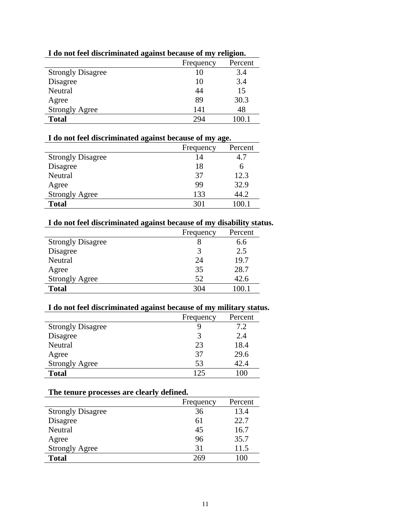| -                        |           |         |
|--------------------------|-----------|---------|
|                          | Frequency | Percent |
| <b>Strongly Disagree</b> | 10        | 3.4     |
| Disagree                 | 10        | 3.4     |
| Neutral                  | 44        | 15      |
| Agree                    | 89        | 30.3    |
| <b>Strongly Agree</b>    | 141       | 48      |
| <b>Total</b>             | 294       | 100 1   |

#### **I do not feel discriminated against because of my religion.**

#### **I do not feel discriminated against because of my age.**

|                          | Frequency | Percent |
|--------------------------|-----------|---------|
| <b>Strongly Disagree</b> | 14        | 4.7     |
| Disagree                 | 18        | h       |
| Neutral                  | 37        | 12.3    |
| Agree                    | 99        | 32.9    |
| <b>Strongly Agree</b>    | 133       | 44.2    |
| <b>Total</b>             | 301       |         |

#### **I do not feel discriminated against because of my disability status.**

| Frequency | Percent |
|-----------|---------|
|           | 6.6     |
| 3         | 2.5     |
| 24        | 19.7    |
| 35        | 28.7    |
| 52        | 42.6    |
| 304       |         |
|           |         |

#### **I do not feel discriminated against because of my military status.**

|                          | Frequency | Percent      |
|--------------------------|-----------|--------------|
| <b>Strongly Disagree</b> |           | 7.2          |
| Disagree                 |           | 2.4          |
| Neutral                  | 23        | 18.4         |
| Agree                    | 37        | 29.6         |
| <b>Strongly Agree</b>    | 53        | 42.4         |
| <b>Total</b>             | 125       | $($ $)($ $)$ |

#### **The tenure processes are clearly defined.**

|                          | Frequency | Percent |
|--------------------------|-----------|---------|
| <b>Strongly Disagree</b> | 36        | 13.4    |
| Disagree                 | 61        | 22.7    |
| Neutral                  | 45        | 16.7    |
| Agree                    | 96        | 35.7    |
| <b>Strongly Agree</b>    | 31        | 11.5    |
| <b>Total</b>             | 269       | 100     |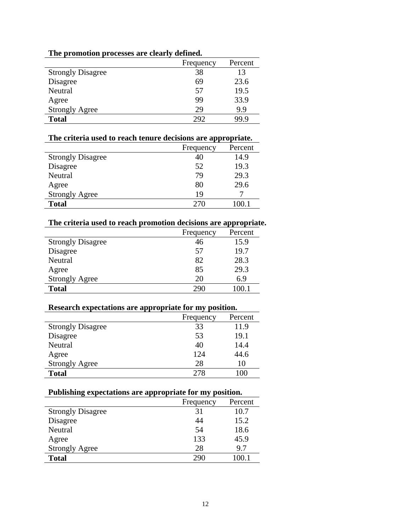|                          | Frequency | Percent |
|--------------------------|-----------|---------|
| <b>Strongly Disagree</b> | 38        | 13      |
| Disagree                 | 69        | 23.6    |
| Neutral                  | 57        | 19.5    |
| Agree                    | 99        | 33.9    |
| <b>Strongly Agree</b>    | 29        | 9.9     |
| <b>Total</b>             | 292       | 99.9    |

#### **The promotion processes are clearly defined.**

#### **The criteria used to reach tenure decisions are appropriate.**

|                          | Frequency | Percent |
|--------------------------|-----------|---------|
| <b>Strongly Disagree</b> | 40        | 14.9    |
| Disagree                 | 52        | 19.3    |
| Neutral                  | 79        | 29.3    |
| Agree                    | 80        | 29.6    |
| <b>Strongly Agree</b>    | 19        |         |
| <b>Total</b>             | 270       | 100.1   |

#### **The criteria used to reach promotion decisions are appropriate.**

|                          | Frequency | Percent |
|--------------------------|-----------|---------|
| <b>Strongly Disagree</b> | 46        | 15.9    |
| Disagree                 | 57        | 19.7    |
| Neutral                  | 82        | 28.3    |
| Agree                    | 85        | 29.3    |
| <b>Strongly Agree</b>    | 20        | 6.9     |
| <b>Total</b>             | 290       |         |
|                          |           |         |

#### **Research expectations are appropriate for my position.**

|                          | Frequency | Percent |
|--------------------------|-----------|---------|
| <b>Strongly Disagree</b> | 33        | 11.9    |
| Disagree                 | 53        | 19.1    |
| Neutral                  | 40        | 14.4    |
| Agree                    | 124       | 44.6    |
| <b>Strongly Agree</b>    | 28        | 10      |
| <b>Total</b>             | 278       | 100     |
|                          |           |         |

#### **Publishing expectations are appropriate for my position.**

|                          | Frequency | Percent |
|--------------------------|-----------|---------|
| <b>Strongly Disagree</b> | 31        | 10.7    |
| Disagree                 | 44        | 15.2    |
| Neutral                  | 54        | 18.6    |
| Agree                    | 133       | 45.9    |
| <b>Strongly Agree</b>    | 28        | 9.7     |
| <b>Total</b>             | 290       | 100.1   |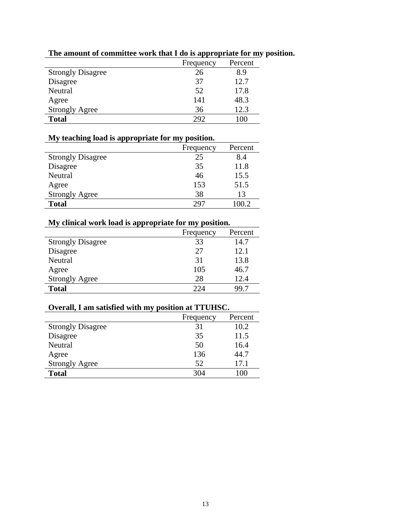|                          | Frequency | Percent |
|--------------------------|-----------|---------|
| <b>Strongly Disagree</b> | 26        | 8.9     |
| Disagree                 | 37        | 12.7    |
| Neutral                  | 52        | 17.8    |
| Agree                    | 141       | 48.3    |
| <b>Strongly Agree</b>    | 36        | 12.3    |
| <b>Total</b>             | 292       | $^{00}$ |

#### **The amount of committee work that I do is appropriate for my position.**

#### **My teaching load is appropriate for my position.**

|                          | Frequency | Percent |
|--------------------------|-----------|---------|
| <b>Strongly Disagree</b> | 25        | 8.4     |
| Disagree                 | 35        | 11.8    |
| Neutral                  | 46        | 15.5    |
| Agree                    | 153       | 51.5    |
| <b>Strongly Agree</b>    | 38        | 13      |
| <b>Total</b>             | 297       | 100.2   |

#### **My clinical work load is appropriate for my position.**

|                          | Frequency | Percent |
|--------------------------|-----------|---------|
| <b>Strongly Disagree</b> | 33        | 14.7    |
| Disagree                 | 27        | 12.1    |
| Neutral                  | 31        | 13.8    |
| Agree                    | 105       | 46.7    |
| <b>Strongly Agree</b>    | 28        | 12.4    |
| <b>Total</b>             | 224       | 99.7    |
|                          |           |         |

#### **Overall, I am satisfied with my position at TTUHSC.**

|                          | Frequency | Percent |
|--------------------------|-----------|---------|
| <b>Strongly Disagree</b> | 31        | 10.2    |
| Disagree                 | 35        | 11.5    |
| Neutral                  | 50        | 16.4    |
| Agree                    | 136       | 44.7    |
| <b>Strongly Agree</b>    | 52        | 17.1    |
| <b>Total</b>             | 304       | 100     |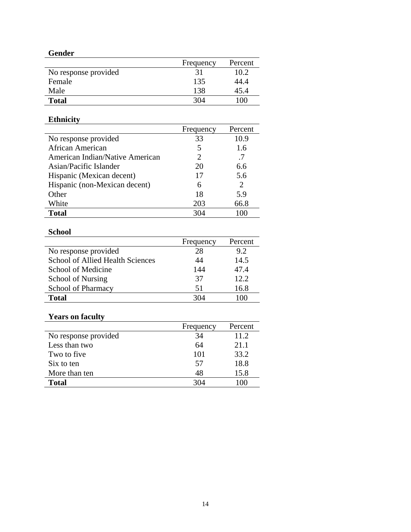#### **Gender**

|                      | Frequency | Percent |
|----------------------|-----------|---------|
| No response provided | 31        | 10.2    |
| Female               | 135       | 44.4    |
| Male                 | 138       | 45.4    |
| <b>Total</b>         | 304       | 100     |

# **Ethnicity**

|                                 | Frequency                   | Percent                     |
|---------------------------------|-----------------------------|-----------------------------|
| No response provided            | 33                          | 10.9                        |
| African American                | 5                           | 1.6                         |
| American Indian/Native American | $\mathcal{D}_{\mathcal{A}}$ | .7                          |
| Asian/Pacific Islander          | 20                          | 6.6                         |
| Hispanic (Mexican decent)       | 17                          | 5.6                         |
| Hispanic (non-Mexican decent)   | 6                           | $\mathcal{D}_{\mathcal{L}}$ |
| Other                           | 18                          | 5.9                         |
| White                           | 203                         | 66.8                        |
| <b>Total</b>                    | 304                         | 100                         |

#### **School**

|                                         | Frequency | Percent |
|-----------------------------------------|-----------|---------|
| No response provided                    | 28        | 9.2     |
| <b>School of Allied Health Sciences</b> | 44        | 14.5    |
| School of Medicine                      | 144       | 47.4    |
| School of Nursing                       | 37        | 12.2    |
| <b>School of Pharmacy</b>               | 51        | 16.8    |
| Total                                   | 304       |         |

# **Years on faculty**

|                      | Frequency | Percent |
|----------------------|-----------|---------|
| No response provided | 34        | 11.2    |
| Less than two        | 64        | 21.1    |
| Two to five          | 101       | 33.2    |
| Six to ten           | 57        | 18.8    |
| More than ten        | 48        | 15.8    |
| <b>Total</b>         | 304       |         |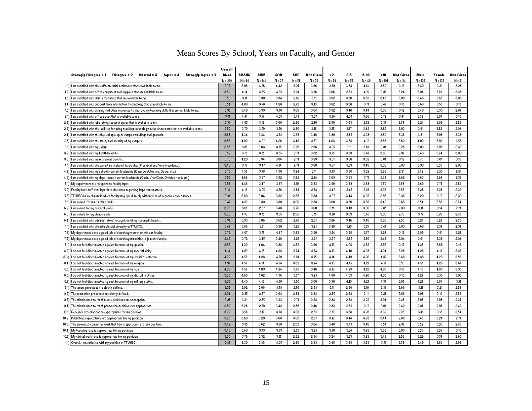|      |                                                                                                                   | Overall   |          |           |            |          |                  |          |          |          |           |                        |           |           |                  |
|------|-------------------------------------------------------------------------------------------------------------------|-----------|----------|-----------|------------|----------|------------------|----------|----------|----------|-----------|------------------------|-----------|-----------|------------------|
|      | Strongly Disagree = 1<br>Disagree = $2$ Meutral = $3$<br>Agree = 4 Strongly Agree = 5                             | Mean      | SOAHS    | SOM       | <b>SON</b> | \$OP     | <b>Not Given</b> | ∢2       | 2-5      | $6 - 10$ | >10       | Not Gi <del>r</del> en | Male      | Female    | <b>Not Given</b> |
|      |                                                                                                                   | $N = 304$ | $N = 44$ | $N = 144$ | N = 37     | $N = 51$ | $N = 38$         | $N = 64$ | $N = 57$ | $N = 48$ | $N = 101$ | $N = 34$               | $N = 138$ | $N = 135$ | $N = 31$         |
|      | 1.1) I am satisfied with clerical/secretarial assistance that is available to me.                                 | 3.75      | 3.98     | 3.76      | 4.42       | 3.27     | 3.36             | 3.59     | 3.84     | 4.13     | 3.82      | 3.15                   | 3.80      | 3.81      | 3.26             |
|      | 1.2) I am satisfied with office equipment and supplies that are available to me.                                  | 3.82      | 4.14     | 3.85      | 4.35       | 3.31     | 3.36             | 3.66     | 3.81     | 4.15     | 3.97      | 3.24                   | 3.96      | 3.78      | 3.39             |
|      | 1.3) I am satisfied with library resources that are available to me.                                              | 3.50      | 3.11     | 3.90      | 3.94       | 2.65     | 3.11             | 3.62     | 3.60     | 3.63     | 3.49      | 3.00                   | 3.46      | 3.65      | 3.06             |
|      | 1.4) I am satisfied with support from Information Technology that is available to me.                             | 3.54      | 4.00     | 3.58      | 4.28       | 2.73     | 3.18             | 3.62     | 3.68     | 3.71     | 3.47      | 3.18                   | 3.63      | 3.55      | 3.13             |
|      | 1.5) I am satisfied with training and other resources to improve my teaching skills that are available to me.     | 3.35      | 3.48     | 3.33      | 3.78       | 3.00     | 3.04             | 3.32     | 3.40     | 3.44     | 3.38      | 3.12                   | 3.43      | 3.33      | 2.87             |
|      | 2.1) I am satisfied with office space that is available to me.                                                    | 3.71      | 4.41     | 3.57      | 4.35       | 3.41     | 3.07             | 3.56     | 4.07     | 3.66     | 3.72      | 3.41                   | 3.72      | 3.84      | 3.10             |
|      | 2.2) I am satisfied with laboratory/research space that is available to me.                                       | 3.10      | 4.05     | 3.18      | 3.00       | 2.20     | 2.70             | 2.80     | 3.63     | 2.72     | 3.31      | 2.74                   | 3.24      | 3.09      | 2.52             |
|      | 2.3) I am satisfied with the facilities for using teaching technology in the classrooms that are available to me. | 3.50      | 3.70     | 3.70      | 3.76       | 2.80     | 3.18             | 3.55     | 3.57     | 3.43     | 3.63      | 3.03                   | 3.61      | 3.52      | 2.34             |
|      | 2.4) I am satisfied with the physical upkeep of campus buildings and grounds.                                     | 3.88      | 4.34     | 3.84      | 4.53       | 3.33     | 3.46             | 3.90     | 3.95     | 4.23     | 3.80      | 3.38                   | 3.31      | 3.96      | 3.39             |
|      | 2.5) I am satisfied with the safety and security of my campus.                                                    | 3.93      | 4.02     | 4.07      | 4.26       | 3.43     | 3.57             | 4.08     | 3.88     | 4.17     | 3.86      | 3.62                   | 4.02      | 3.32      | 3.55             |
|      | 3.1) I am satisfied with my salary.                                                                               | 2.98      | 3.91     | 3.03      | 3.16       | 2.25     | 2.36             | 3.25     | 3.11     | 3.13     | 2.91      | 2.26                   | 3.03      | 3.08      | 2.32             |
|      | 3.2) I am satisfied with my health benefits.                                                                      | 3.52      | 3.75     | 3.75      | 3.65       | 2.71     | 3.32             | 3.55     | 3.33     | 3.47     | 3.80      | 2.97                   | 3.43      | 3.74      | 3.00             |
|      | 3.3) I am satisfied with my retirement benefits.                                                                  | 3.70      | 4.20     | 3.94      | 3.86       | 2.71     | 3.23             | 3.31     | 3.68     | 3.62     | 3.81      | 3.12                   | 3.73      | 3.81      | 3.10             |
|      | 4.1) I am satisfied with the current institutional leadership (President and Vice Presidents).                    | 3.43      | 3.77     | 3.47      | 4.14       | 2.71     | 3.08             | 3.57     | 3.53     | 3.48     | 3.39      | 3.03                   | 3.33      | 3.59      | 2.86             |
|      | 4.2) I am satisfied with my school's current leadership (Dean, Asst./Assoc. Deans, etc.)                          | 3.70      | 4.55     | 3.58      | 4.30       | 3.24     | 3.11             | 3.73     | 3.98     | 3.32     | 3.69      | 2.91                   | 3.72      | 3.33      | 2.61             |
|      | 4.3) I am satisfied with my department's current leadership (Chair, Vice-Chair, Division Head, etc.)              | 3.53      | 4.66     | 3.37      | 3.82       | 3.22     | 2.74             | 3.63     | 3.33     | 3.71     | 3.44      | 2.62                   | 3.63      | 3.67      | 2.55             |
|      | 5.1) My supervisors are receptive to faculty input.                                                               | 3.56      | 4.48     | 3.47      | 3.97       | 3.10     | 2.93             | 3.80     | 3.89     | 3.69     | 3.50      | 2.59                   | 3.60      | 3.77      | 2.52             |
|      | 5.2) Faculty have sufficient input into decisions regarding important matters.                                    | 3.18      | 4.18     | 3.05      | 3.76       | 2.61     | 2.54             | 3.47     | 3.47     | 3.21     | 3.03      | 2.53                   | 3.28      | 3.27      | 2.32             |
|      | 5.3) TTUHSC has a climate in which faculty may speak freely without fear of negative consequences.                | 3.10      | 3.80     | 3.04      | 3.32       | 2.88     | 2.33             | 3.27     | 3.44     | 3.23     | 2.98      | 2.38                   | 3.20      | 3.17      | 2.32             |
|      | 6.1) I am valued for my teaching skills.                                                                          | 3.47      | 4.37     | 3.39      | 3.80       | 3.00     | 2.33             | 3.60     | 3.60     | 3.88     | 3.40      | 2.68                   | 3.54      | 3.58      | 2.74             |
|      | 6.2) I am valued for my research skills.                                                                          | 3.08      | 3.61     | 2.97      | 3.48       | 2.76     | 3.00             | 3.11     | 3.49     | 3.30     | 2.85      | 2.80                   | 3.11      | 3.14      | 2.71             |
|      | 6.3) I am valued for my clinical skills.                                                                          | 3.63      | 4.16     | 3.75      | 3.85       | 2.86     | 3.15             | 3.70     | 3.83     | 3.65     | 3.80      | 2.73                   | 3.77      | 3.70      | 2.73             |
|      | 6.4) I am satisfied with administrators' recognition of my accomplishments.                                       | 3.18      | 3.93     | 3.06      | 3.62       | 2.78     | 2.81             | 3.26     | 3.46     | 3.40     | 3.08      | 2.58                   | 3.24      | 3.27      | 2.53             |
|      | 7.1) I am satisfied with the ethnic/racial diversity at TTUHSC                                                    | 3.47      | 3.86     | 3.51      | 3.30       | 3.25     | 3.21             | 3.48     | 3.75     | 3.55     | 3.41      | 3.03                   | 3.68      | 3.37      | 2.97             |
|      | 7.2) My department does a good job of recruiting women to join our faculty.                                       | 3.79      | 4.07     | 3.77      | 4.47       | 3.43     | 3.30             | 3.74     | 3.98     | 3.77     | 3.92      | 3.18                   | 3.88      | 3.81      | 3.27             |
|      | 7.3) My department does a good job of recruiting minorities to join our faculty.                                  | 3.43      | 3.72     | 3.45      | 3.46       | 3.25     | 3.21             | 3.37     | 3.65     | 3.50     | 3.48      | 2.94                   | 3.61      | 3.36      | 2.94             |
|      | 8.1) I do not feel discriminated against because of my gender                                                     | 3.93      | 4.32     | 4.04      | 3.32       | 3.63     | 3.36             | 4.13     | 4.28     | 3.83     | 3.33      | 3.15                   | 4.35      | 3.63      | 3.16             |
|      | 8.2) I do not feel discriminated against because of my race/ethnicity.                                            | 4.14      | 4.67     | 4.18      | 4.38       | 3.74     | 3.54             | 4.13     | 4.40     | 4.23     | 4.24      | 3.26                   | 4.28      | 4.18      | 3.35             |
| 8.3) | I do not feel discriminated against because of my sexual orientation.                                             | 4.22      | 4.55     | 4.28      | 4.50       | 3.81     | 3.75             | 4.14     | 4.49     | 4.20     | 4.37      | 3.48                   | 4.38      | 4.20      | 3.56             |
|      | 8.4) I do not feel discriminated against because of my religion.                                                  | 4.16      | 4.57     | 4.14      | 4.54       | 3.82     | 3.74             | 4.13     | 4.45     | 4.27     | 4.17      | 3.50                   | 4.21      | 4.22      | 3.67             |
|      | 8.5) I do not feel discriminated against because of my age.                                                       | 4.06      | 4.57     | 4.03      | 4.24       | 3.73     | 3.46             | 4.16     | 4.23     | 4.25     | 4.08      | 3.18                   | 4.18      | 4.03      | 3.39             |
|      | 8.6) I do not feel discriminated against because of my disability status.                                         | 3.98      | 4.60     | 4.02      | 4.36       | 3.57     | 3.25             | 4.00     | 4.33     | 4.20     | 4.08      | 3.16                   | 4.27      | 3.96      | 3.06             |
|      | 8.7) I do not feel discriminated against because of my military status.                                           | 3.98      | 4.40     | 4.16      | 4.50       | 3.50     | 3.00             | 3.90     | 4.13     | 4.21     | 4.31      | 3.05                   | 4.27      | 3.84      | 3.11             |
|      | 3.1) The tenure processes are clearly defined.                                                                    | 3.09      | 3.02     | 3.08      | 3.79       | 2.76     | 2.33             | 3.11     | 2.96     | 3.10     | 3.31      | 2.68                   | 3.11      | 3.21      | 2.54             |
|      | 3.2) The promotion processes are clearly defined.                                                                 | 3.04      | 2.95     | 2.97      | 3.64       | 2.94     | 2.33             | 2.95     | 2.34     | 3.11     | 3.25      | 2.68                   | 3.08      | 3.10      | 2.59             |
|      | 3.3) The criteria used to reach tenure decisions are appropriate.                                                 | 2.35      | 3.21     | 2.95      | 3.33       | 2.71     | 2.38             | 2.34     | 2.88     | 3.22     | 3.04      | 2.45                   | 3.05      | 2.96      | 2.37             |
|      | 3.4) The criteria used to reach promotion decisions are appropriate.                                              | 2.32      | 3.26     | 2.79      | 3.42       | 2.86     | 2.46             | 2.93     | 2.81     | 3.17     | 3.01      | 2.42                   | 2.97      | 2.97      | 2.43             |
|      | 10.1) Research expectations are appropriate for my position.                                                      | 3.22      | 3.56     | 3.17      | 3.58       | 3.06     | 2.81             | 3.17     | 3.38     | 3.26     | 3.32      | 2.76                   | 3.41      | 3.18      | 2.54             |
|      | 10.2) Publishing expectations are appropriate for my position.                                                    | 3.29      | 3.60     | 3.29      | 3.68       | 3.00     | 2.81             | 3.12     | 3.44     | 3.29     | 3.44      | 2.88                   | 3.45      | 3.24      | 2.71             |
|      | 10.3) The amount of committee work that I do is appropriate for my position.                                      | 3.42      | 3.95     | 3.62      | 3.50       | 2.63     | 3.04             | 3.48     | 3.47     | 3.40     | 3.54      | 2.97                   | 3.52      | 3.50      | 2.70             |
|      | 10.4) My teaching load is appropriate for my position.                                                            | 3.48      | 3.60     | 3.79      | 3.59       | 2.59     | 3.25             | 3.50     | 3.54     | 3.23     | 3.69      | 3.03                   | 3.50      | 3.56      | 3.10             |
|      | 10.5) My clinical work load is appropriate for my position                                                        | 3.30      | 3.76     | 3.32      | 3.55       | 2.82     | 2.34             | 3.24     | 3.53     | 3.29     | 3.49      | 2.56                   | 3.26      | 3.51      | 2.63             |
|      | 11.1) Overall, I am satisfied with my position at TTUHSC.                                                         | 3.47      | 4.30     | 3.38      | 4.05       | 2.90     | 2.33             | 3.48     | 3.68     | 3.63     | 3.51      | 2.74                   | 3.43      | 3.63      | 2.68             |

# Mean Scores By School, Years on Faculty, and Gender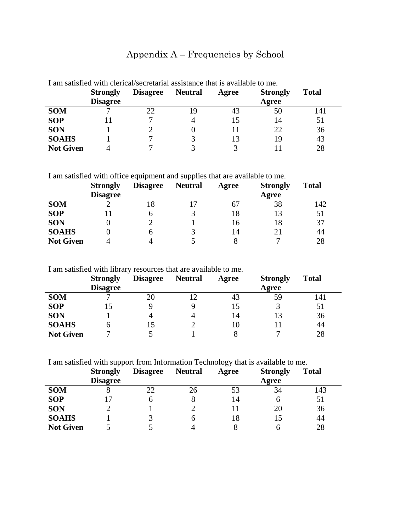# Appendix A – Frequencies by School

|                  | <b>Strongly</b><br><b>Disagree</b> | <b>Disagree</b> | <b>Neutral</b> | Agree | <b>Strongly</b><br>Agree | <b>Total</b> |
|------------------|------------------------------------|-----------------|----------------|-------|--------------------------|--------------|
| <b>SOM</b>       |                                    |                 | 19             | 43    | 50                       | 141          |
| <b>SOP</b>       |                                    |                 |                | 15    | 14                       | 51           |
| <b>SON</b>       |                                    |                 |                | Ħ     | 22                       | 36           |
| <b>SOAHS</b>     |                                    |                 |                | 13    | 19                       | 43           |
| <b>Not Given</b> |                                    |                 |                |       |                          | 28           |

I am satisfied with clerical/secretarial assistance that is available to me.

#### I am satisfied with office equipment and supplies that are available to me.

|                  | <b>Strongly</b> | <b>Disagree</b> | <b>Neutral</b> | Agree | <b>Strongly</b> | <b>Total</b> |
|------------------|-----------------|-----------------|----------------|-------|-----------------|--------------|
|                  | <b>Disagree</b> |                 |                |       | Agree           |              |
| <b>SOM</b>       |                 | 18              |                | 67    | 38              | 142          |
| <b>SOP</b>       |                 | n               |                | 18    | 13              | 51           |
| <b>SON</b>       |                 |                 |                | 16    | 18              | 37           |
| <b>SOAHS</b>     |                 | n               |                | 14    | 21              | 44           |
| <b>Not Given</b> |                 |                 |                |       | −               | 28           |

I am satisfied with library resources that are available to me.

|                  | <b>Strongly</b><br><b>Disagree</b> | <b>Disagree</b> | <b>Neutral</b> | Agree | <b>Strongly</b><br>Agree | <b>Total</b> |
|------------------|------------------------------------|-----------------|----------------|-------|--------------------------|--------------|
| <b>SOM</b>       |                                    | 20              |                | 43    | 59                       | 141          |
| <b>SOP</b>       |                                    |                 |                | 15    |                          | 51           |
| <b>SON</b>       |                                    | 4               |                | 14    |                          | 36           |
| <b>SOAHS</b>     | n                                  | 15              |                | 10    |                          | 44           |
| <b>Not Given</b> |                                    |                 |                |       | −                        | 28           |

I am satisfied with support from Information Technology that is available to me.

|                  | <b>Strongly</b> | <b>Disagree</b> | <b>Neutral</b> | Agree | <b>Strongly</b> | <b>Total</b> |
|------------------|-----------------|-----------------|----------------|-------|-----------------|--------------|
|                  | <b>Disagree</b> |                 |                |       | Agree           |              |
| <b>SOM</b>       |                 | 22              | 26             | 53    | 34              | 143          |
| <b>SOP</b>       |                 | h               |                | 14    | h               | 51           |
| <b>SON</b>       |                 |                 |                |       | 20              | 36           |
| <b>SOAHS</b>     |                 | 3               |                | 18    |                 | 44           |
| <b>Not Given</b> |                 |                 |                |       |                 | 28           |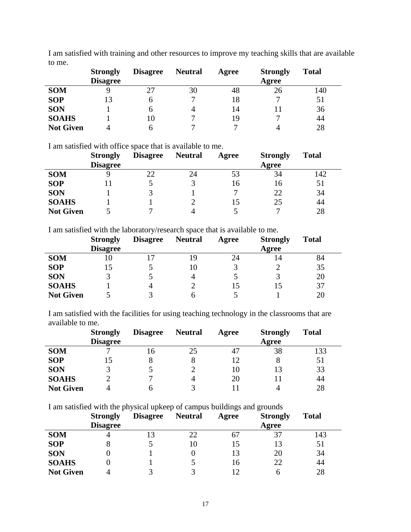|                  | <b>Strongly</b><br><b>Disagree</b> | <b>Disagree</b> | <b>Neutral</b> | Agree | <b>Strongly</b><br>Agree | <b>Total</b> |
|------------------|------------------------------------|-----------------|----------------|-------|--------------------------|--------------|
| <b>SOM</b>       |                                    | 27              | 30             | 48    | 26                       | 140          |
| <b>SOP</b>       | 13                                 | 6               |                | 18    |                          | 51           |
| <b>SON</b>       |                                    | h               |                | 14    |                          | 36           |
| <b>SOAHS</b>     |                                    | 10              |                | 19    |                          | 44           |
| <b>Not Given</b> |                                    | h               |                |       |                          | 28           |

I am satisfied with training and other resources to improve my teaching skills that are available to me.

I am satisfied with office space that is available to me.

|                  | <b>Strongly</b><br><b>Disagree</b> | <b>Disagree</b> | <b>Neutral</b> | Agree | <b>Strongly</b><br>Agree | <b>Total</b> |
|------------------|------------------------------------|-----------------|----------------|-------|--------------------------|--------------|
| <b>SOM</b>       |                                    |                 | 24             | 53    | 34                       | 142          |
| <b>SOP</b>       |                                    |                 |                | 16    | 16                       | 51           |
| <b>SON</b>       |                                    |                 |                |       | 22                       | 34           |
| <b>SOAHS</b>     |                                    |                 |                |       | 25                       | 44           |
| <b>Not Given</b> |                                    |                 |                |       | −                        | 28           |

I am satisfied with the laboratory/research space that is available to me.

|                  | <b>Strongly</b> | <b>Disagree</b> | <b>Neutral</b> | Agree | <b>Strongly</b> | <b>Total</b> |
|------------------|-----------------|-----------------|----------------|-------|-----------------|--------------|
|                  | <b>Disagree</b> |                 |                |       | Agree           |              |
| <b>SOM</b>       | IО              |                 | 19             | 24    | 14              | 84           |
| <b>SOP</b>       | l5              |                 | 10             |       |                 | 35           |
| <b>SON</b>       |                 |                 |                |       |                 | 20           |
| <b>SOAHS</b>     |                 | $\Lambda$       |                | L5    |                 | 37           |
| <b>Not Given</b> |                 |                 |                |       |                 | 20           |

I am satisfied with the facilities for using teaching technology in the classrooms that are available to me.

|                  | <b>Strongly</b> | <b>Disagree</b> | <b>Neutral</b> | Agree | <b>Strongly</b> | <b>Total</b> |
|------------------|-----------------|-----------------|----------------|-------|-----------------|--------------|
|                  | <b>Disagree</b> |                 |                |       | Agree           |              |
| <b>SOM</b>       |                 | 16              | 25             | 47    | 38              | 133          |
| <b>SOP</b>       |                 |                 |                | 12    |                 | 51           |
| <b>SON</b>       |                 |                 |                | 10    | 13              | 33           |
| <b>SOAHS</b>     |                 |                 | 4              | 20    |                 | 44           |
| <b>Not Given</b> |                 |                 |                |       |                 | 28           |

I am satisfied with the physical upkeep of campus buildings and grounds

|                  | <b>Strongly</b><br><b>Disagree</b> | <b>Disagree</b> | <b>Neutral</b> | Agree | <b>Strongly</b><br>Agree | <b>Total</b> |
|------------------|------------------------------------|-----------------|----------------|-------|--------------------------|--------------|
| <b>SOM</b>       |                                    | 13              | 22             | 67    |                          | 143          |
| <b>SOP</b>       | 8                                  |                 | 10             |       |                          | 51           |
| <b>SON</b>       |                                    |                 |                | 13    | 20                       | 34           |
| <b>SOAHS</b>     |                                    |                 |                | 16    | 22                       | 44           |
| <b>Not Given</b> |                                    |                 |                |       |                          | 28           |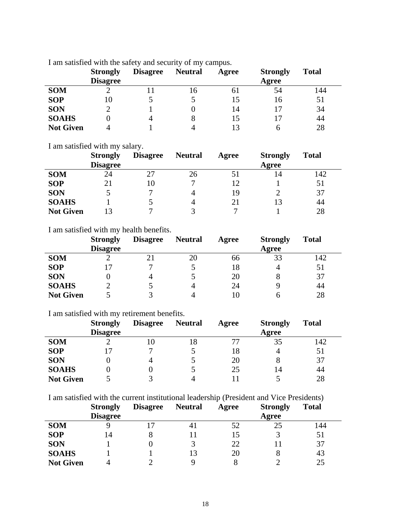|                  | <b>Strongly</b> | <b>Disagree</b> | <b>Neutral</b> | Agree | <b>Strongly</b> | <b>Total</b> |
|------------------|-----------------|-----------------|----------------|-------|-----------------|--------------|
|                  | <b>Disagree</b> |                 |                |       | Agree           |              |
| <b>SOM</b>       |                 |                 | 16             | 61    | 54              | 144          |
| <b>SOP</b>       | 10              |                 |                | 15    | 16              | 51           |
| <b>SON</b>       |                 |                 |                | 14    |                 | 34           |
| <b>SOAHS</b>     | 0               | 4               | 8              | 15    |                 | 44           |
| <b>Not Given</b> | 4               |                 | Δ              | 13    |                 | 28           |

I am satisfied with the safety and security of my campus.

I am satisfied with my salary.

|                  | <b>Strongly</b> | <b>Disagree</b> | <b>Neutral</b> | Agree | <b>Strongly</b> | <b>Total</b> |
|------------------|-----------------|-----------------|----------------|-------|-----------------|--------------|
|                  | <b>Disagree</b> |                 |                |       | Agree           |              |
| <b>SOM</b>       | 24              | דר              | 26             | ו כ   | 14              | 142          |
| <b>SOP</b>       | 21              | 10              | −              | 12    |                 | 51           |
| <b>SON</b>       |                 |                 |                | 19    |                 | 37           |
| <b>SOAHS</b>     |                 |                 | 4              | 21    |                 | 44           |
| <b>Not Given</b> |                 |                 |                |       |                 | 28           |

I am satisfied with my health benefits.

|                  | <b>Strongly</b> | <b>Disagree</b> | <b>Neutral</b> | Agree | <b>Strongly</b> | <b>Total</b> |
|------------------|-----------------|-----------------|----------------|-------|-----------------|--------------|
|                  | <b>Disagree</b> |                 |                |       | Agree           |              |
| <b>SOM</b>       |                 |                 | 20             | 66    | 33              | 142          |
| <b>SOP</b>       |                 | ⇁               |                | 18    | 4               | 51           |
| <b>SON</b>       |                 | 4               |                | 20    |                 | 37           |
| <b>SOAHS</b>     |                 |                 |                | 24    |                 | 44           |
| <b>Not Given</b> |                 |                 |                | l ()  |                 | 28           |

#### I am satisfied with my retirement benefits.

|                  | <b>Strongly</b> | <b>Disagree</b> | <b>Neutral</b> | Agree | <b>Strongly</b> | <b>Total</b> |
|------------------|-----------------|-----------------|----------------|-------|-----------------|--------------|
|                  | <b>Disagree</b> |                 |                |       | Agree           |              |
| <b>SOM</b>       |                 | 10              | 18             | 77    | 35              | 142          |
| <b>SOP</b>       |                 | −               |                | 18    | 4               | 51           |
| <b>SON</b>       |                 | 4               |                | 20    |                 | 37           |
| <b>SOAHS</b>     |                 |                 |                | 25    | 14              | 44           |
| <b>Not Given</b> |                 |                 |                |       |                 | 28           |

I am satisfied with the current institutional leadership (President and Vice Presidents)

|                  | <b>Strongly</b> | <b>Disagree</b> | <b>Neutral</b> | Agree | <b>Strongly</b> | <b>Total</b> |
|------------------|-----------------|-----------------|----------------|-------|-----------------|--------------|
|                  | <b>Disagree</b> |                 |                |       | Agree           |              |
| <b>SOM</b>       |                 |                 |                | 52    | 25              | 144          |
| <b>SOP</b>       | 14              |                 |                | 15    |                 |              |
| <b>SON</b>       |                 |                 |                | 22    |                 | 37           |
| <b>SOAHS</b>     |                 |                 | 13             | 20    |                 | 43           |
| <b>Not Given</b> |                 |                 |                |       |                 | 25           |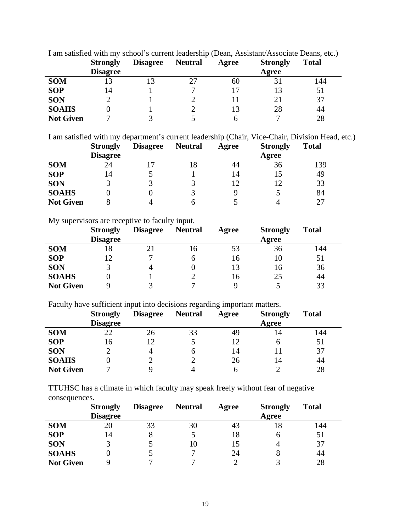|                  | <b>Strongly</b><br><b>Disagree</b> | <b>Disagree</b> | <b>Neutral</b> | Agree | <b>Strongly</b><br>Agree | <b>Total</b> |
|------------------|------------------------------------|-----------------|----------------|-------|--------------------------|--------------|
| <b>SOM</b>       |                                    |                 |                | 60    |                          | 144          |
| <b>SOP</b>       | 14                                 |                 |                |       |                          | 51           |
| <b>SON</b>       |                                    |                 |                |       |                          | 37           |
| <b>SOAHS</b>     |                                    |                 |                | 13    | 28                       | 44           |
| <b>Not Given</b> |                                    |                 |                |       |                          | 28           |

I am satisfied with my school's current leadership (Dean, Assistant/Associate Deans, etc.)

I am satisfied with my department's current leadership (Chair, Vice-Chair, Division Head, etc.)

|                  | <b>Strongly</b> | <b>Disagree</b> | <b>Neutral</b> | Agree | <b>Strongly</b> | <b>Total</b> |
|------------------|-----------------|-----------------|----------------|-------|-----------------|--------------|
|                  | <b>Disagree</b> |                 |                |       | Agree           |              |
| <b>SOM</b>       | 24              |                 |                | 44    | 36              | 139          |
| <b>SOP</b>       | 14              |                 |                | 14    | 15              | 49           |
| <b>SON</b>       |                 |                 |                | 12    | 12              | 33           |
| <b>SOAHS</b>     |                 |                 |                |       |                 | 84           |
| <b>Not Given</b> |                 | 4               |                |       |                 |              |

My supervisors are receptive to faculty input.

|                  | <b>Strongly</b><br><b>Disagree</b> | <b>Disagree</b> | <b>Neutral</b> | Agree | <b>Strongly</b><br>Agree | <b>Total</b> |
|------------------|------------------------------------|-----------------|----------------|-------|--------------------------|--------------|
| <b>SOM</b>       | 18                                 |                 | Iб             | 53    | 36                       | 144          |
| <b>SOP</b>       | 12                                 |                 |                | 16    | 10                       | 51           |
| <b>SON</b>       | 3                                  |                 |                | 13    | 16                       | 36           |
| <b>SOAHS</b>     |                                    |                 |                | 16    | 25                       | 44           |
| <b>Not Given</b> |                                    |                 |                | q     |                          | 33           |

Faculty have sufficient input into decisions regarding important matters.

|                  | <b>Strongly</b><br><b>Disagree</b> | <b>Disagree</b> | <b>Neutral</b> | Agree | <b>Strongly</b><br>Agree | <b>Total</b> |
|------------------|------------------------------------|-----------------|----------------|-------|--------------------------|--------------|
| <b>SOM</b>       | 22                                 | 26              | 33             | 49    | 14                       | 144          |
| <b>SOP</b>       | 16                                 |                 |                | 12    | O                        | 51           |
| <b>SON</b>       |                                    | 4               | h              | 14    |                          | 37           |
| <b>SOAHS</b>     |                                    |                 |                | 26    | 14                       | 44           |
| <b>Not Given</b> |                                    |                 |                | h     |                          | 28           |

TTUHSC has a climate in which faculty may speak freely without fear of negative consequences.

|                  | <b>Strongly</b> | <b>Disagree</b> | <b>Neutral</b> | Agree | <b>Strongly</b> | <b>Total</b> |
|------------------|-----------------|-----------------|----------------|-------|-----------------|--------------|
|                  | <b>Disagree</b> |                 |                |       | Agree           |              |
| <b>SOM</b>       | 20              | 33              | 30             | 43    | 18              | 144          |
| <b>SOP</b>       | 14              |                 |                | 18    |                 | 51           |
| <b>SON</b>       |                 |                 | 10             | 15    |                 | 37           |
| <b>SOAHS</b>     |                 |                 |                | 24    |                 | 44           |
| <b>Not Given</b> |                 | −               |                |       |                 | 28           |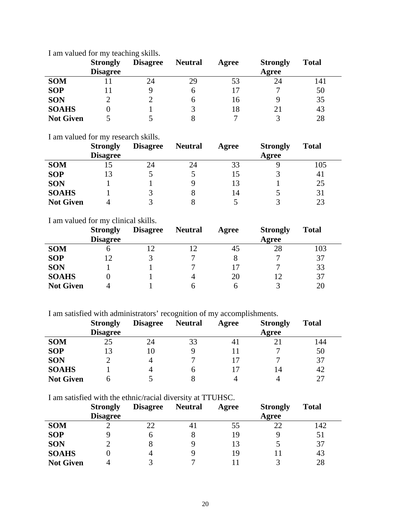|                  | <b>Strongly</b><br><b>Disagree</b> | <b>Disagree</b> | <b>Neutral</b> | Agree | <b>Strongly</b><br>Agree | <b>Total</b> |
|------------------|------------------------------------|-----------------|----------------|-------|--------------------------|--------------|
| <b>SOM</b>       |                                    | 24              | 29             | 53    | 24                       | 141          |
| <b>SOP</b>       |                                    |                 | n              |       | ⇁                        | 50           |
| <b>SON</b>       |                                    |                 | <sub>6</sub>   | 16    |                          | 35           |
| <b>SOAHS</b>     | U                                  |                 |                | 18    |                          | 43           |
| <b>Not Given</b> |                                    |                 |                |       |                          | 28           |

I am valued for my teaching skills.

I am valued for my research skills.

|                  | <b>Strongly</b><br><b>Disagree</b> | <b>Disagree</b> | <b>Neutral</b> | Agree | <b>Strongly</b><br>Agree | <b>Total</b> |
|------------------|------------------------------------|-----------------|----------------|-------|--------------------------|--------------|
| <b>SOM</b>       |                                    | 24              | 24             | 33    |                          | 105          |
| <b>SOP</b>       | 13                                 |                 |                | 15    |                          | 41           |
| <b>SON</b>       |                                    |                 |                | 13    |                          | 25           |
| <b>SOAHS</b>     |                                    |                 |                | 14    |                          | 31           |
| <b>Not Given</b> |                                    |                 |                |       |                          | 23           |

#### I am valued for my clinical skills.

|                  | <b>Strongly</b><br><b>Disagree</b> | <b>Disagree</b> | <b>Neutral</b> | Agree | <b>Strongly</b><br>Agree | <b>Total</b> |
|------------------|------------------------------------|-----------------|----------------|-------|--------------------------|--------------|
| <b>SOM</b>       | o                                  |                 |                | 45    | 28                       | 103          |
| <b>SOP</b>       | 12                                 |                 |                | 8     |                          | 37           |
| <b>SON</b>       |                                    |                 |                | 17    |                          | 33           |
| <b>SOAHS</b>     |                                    |                 | 4              | 20    |                          | 37           |
| <b>Not Given</b> |                                    |                 |                | h     |                          | 20           |

I am satisfied with administrators' recognition of my accomplishments.

|                  | <b>Strongly</b> | <b>Disagree</b> | <b>Neutral</b> | Agree | <b>Strongly</b> | <b>Total</b> |
|------------------|-----------------|-----------------|----------------|-------|-----------------|--------------|
|                  | <b>Disagree</b> |                 |                |       | Agree           |              |
| <b>SOM</b>       | 25              | 24              | 33             | 41    |                 | l 44         |
| <b>SOP</b>       | 13              | 10              |                |       |                 | 50           |
| <b>SON</b>       |                 | 4               |                |       |                 | 37           |
| <b>SOAHS</b>     |                 | 4               |                |       | 14              | 42           |
| <b>Not Given</b> |                 |                 |                |       |                 | 27           |

I am satisfied with the ethnic/racial diversity at TTUHSC.

|                  | <b>Strongly</b><br><b>Disagree</b> | <b>Disagree</b> | <b>Neutral</b> | Agree | <b>Strongly</b><br>Agree | <b>Total</b> |
|------------------|------------------------------------|-----------------|----------------|-------|--------------------------|--------------|
| <b>SOM</b>       |                                    | 22              | 4ì             | 55    | 22                       | 142          |
| <b>SOP</b>       |                                    | n               |                | 19    | Q                        | 51           |
| <b>SON</b>       |                                    |                 |                | 13    |                          | 37           |
| <b>SOAHS</b>     |                                    |                 |                | 19    |                          | 43           |
| <b>Not Given</b> |                                    |                 |                |       |                          | 28           |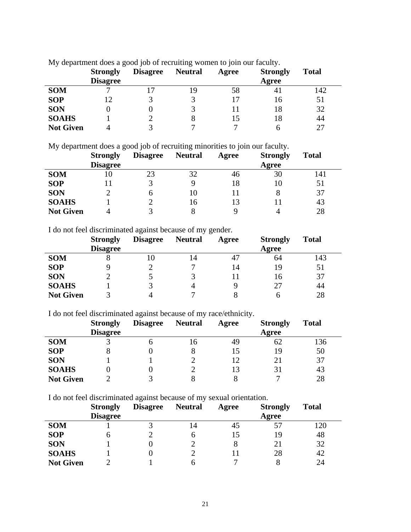|                  | <b>Strongly</b><br><b>Disagree</b> | <b>Disagree</b> | <b>Neutral</b> | Agree | <b>Strongly</b><br>Agree | <b>Total</b> |
|------------------|------------------------------------|-----------------|----------------|-------|--------------------------|--------------|
| <b>SOM</b>       |                                    |                 | 19             | 58    | 41                       | 142          |
| <b>SOP</b>       |                                    |                 |                | 17    | 16                       | 51           |
| <b>SON</b>       |                                    |                 |                | Ħ     | 18                       | 32           |
| <b>SOAHS</b>     |                                    |                 | Ω              | 15    | 18                       | 44           |
| <b>Not Given</b> |                                    |                 |                |       |                          | 27           |

My department does a good job of recruiting women to join our faculty.

My department does a good job of recruiting minorities to join our faculty.

|                  | <b>Strongly</b> | <b>Disagree</b> | <b>Neutral</b> | Agree | <b>Strongly</b> | <b>Total</b> |
|------------------|-----------------|-----------------|----------------|-------|-----------------|--------------|
|                  | <b>Disagree</b> |                 |                |       | Agree           |              |
| <b>SOM</b>       | 10              | 23              | 32             | 46    | 30              | 141          |
| <b>SOP</b>       |                 |                 |                | 18    |                 | 51           |
| <b>SON</b>       |                 | h               | 10             |       |                 | 37           |
| <b>SOAHS</b>     |                 |                 | 16             | 13    |                 | 43           |
| <b>Not Given</b> |                 |                 |                |       |                 | 28           |

I do not feel discriminated against because of my gender.

|                  | <b>Strongly</b> | <b>Disagree</b> | <b>Neutral</b> | Agree | <b>Strongly</b> | <b>Total</b> |
|------------------|-----------------|-----------------|----------------|-------|-----------------|--------------|
|                  | <b>Disagree</b> |                 |                |       | Agree           |              |
| <b>SOM</b>       |                 | 10              | 4              | 47    | 64              | 143          |
| <b>SOP</b>       |                 |                 |                | 14    | 19              | 51           |
| <b>SON</b>       |                 |                 |                |       | 16              | 37           |
| <b>SOAHS</b>     |                 |                 |                |       | 27              | 44           |
| <b>Not Given</b> |                 |                 |                |       |                 | 28           |

I do not feel discriminated against because of my race/ethnicity.

|                  | <b>Strongly</b> | <b>Disagree</b> | <b>Neutral</b> | Agree | <b>Strongly</b> | <b>Total</b> |
|------------------|-----------------|-----------------|----------------|-------|-----------------|--------------|
|                  | <b>Disagree</b> |                 |                |       | Agree           |              |
| <b>SOM</b>       |                 |                 | 16             | 49    | 62              | 136          |
| <b>SOP</b>       | 8               |                 |                |       | 19              | 50           |
| <b>SON</b>       |                 |                 |                | 12    |                 | 37           |
| <b>SOAHS</b>     |                 |                 |                | 13    | 31              | 43           |
| <b>Not Given</b> |                 |                 |                |       |                 | 28           |

I do not feel discriminated against because of my sexual orientation.

|                  | <b>Strongly</b> | <b>Disagree</b> | <b>Neutral</b> | Agree | <b>Strongly</b> | <b>Total</b> |
|------------------|-----------------|-----------------|----------------|-------|-----------------|--------------|
|                  | <b>Disagree</b> |                 |                |       | Agree           |              |
| <b>SOM</b>       |                 |                 | 14             | 45    | 57              | 120          |
| <b>SOP</b>       | n               |                 | h              | 15    | 19              | 48           |
| <b>SON</b>       |                 |                 |                | 8     | 21              | 32           |
| <b>SOAHS</b>     |                 |                 |                |       | 28              | 42           |
| <b>Not Given</b> |                 |                 |                | −     |                 | 24           |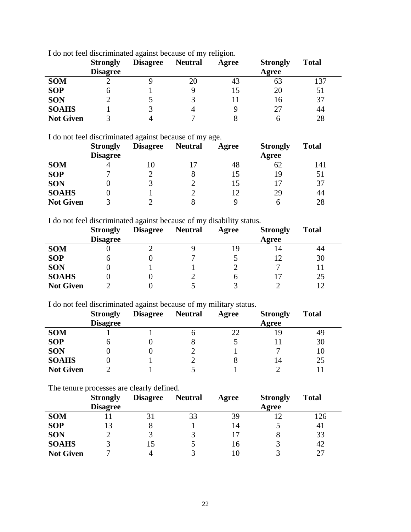|                  | <b>Strongly</b><br><b>Disagree</b> | <b>Disagree</b> | <b>Neutral</b> | Agree | <b>Strongly</b><br>Agree | <b>Total</b> |
|------------------|------------------------------------|-----------------|----------------|-------|--------------------------|--------------|
| <b>SOM</b>       |                                    |                 | 20             | 43    | 63                       | 137          |
| <b>SOP</b>       | <sub>0</sub>                       |                 |                | 15    | 20                       | 51           |
| <b>SON</b>       |                                    |                 |                |       | 16                       | 37           |
| <b>SOAHS</b>     |                                    |                 |                |       | 27                       | 44           |
| <b>Not Given</b> |                                    | $\overline{4}$  |                |       |                          | 28           |

I do not feel discriminated against because of my religion.

I do not feel discriminated against because of my age.

|                  | <b>Strongly</b> | <b>Disagree</b> | <b>Neutral</b> | Agree | <b>Strongly</b> | <b>Total</b> |
|------------------|-----------------|-----------------|----------------|-------|-----------------|--------------|
|                  | <b>Disagree</b> |                 |                |       | Agree           |              |
| <b>SOM</b>       |                 | 10              |                | 48    | 62              | 141          |
| <b>SOP</b>       |                 |                 |                |       | 19              | 51           |
| <b>SON</b>       |                 |                 |                |       |                 | 37           |
| <b>SOAHS</b>     |                 |                 |                | 12    | 29              | 44           |
| <b>Not Given</b> |                 |                 |                | Q     |                 | 28           |

I do not feel discriminated against because of my disability status.

|                  | <b>Strongly</b><br><b>Disagree</b> | <b>Disagree</b> | <b>Neutral</b> | Agree | <b>Strongly</b><br>Agree | <b>Total</b> |
|------------------|------------------------------------|-----------------|----------------|-------|--------------------------|--------------|
| <b>SOM</b>       |                                    |                 |                | 19    | 14                       | 44           |
| <b>SOP</b>       | n                                  |                 |                |       |                          | 30           |
| <b>SON</b>       |                                    |                 |                |       |                          |              |
| <b>SOAHS</b>     |                                    |                 |                | n     |                          | 25           |
| <b>Not Given</b> |                                    |                 |                |       |                          | $\sqrt{2}$   |

I do not feel discriminated against because of my military status.

|                  | <b>Strongly</b><br><b>Disagree</b> | <b>Disagree</b> | <b>Neutral</b> | Agree | <b>Strongly</b><br>Agree | <b>Total</b> |
|------------------|------------------------------------|-----------------|----------------|-------|--------------------------|--------------|
| <b>SOM</b>       |                                    |                 |                | 22    | 19                       | 49           |
| <b>SOP</b>       | n                                  |                 |                |       |                          | 30           |
| <b>SON</b>       |                                    |                 |                |       |                          | 10           |
| <b>SOAHS</b>     |                                    |                 |                |       | 14                       | 25           |
| <b>Not Given</b> |                                    |                 |                |       |                          |              |

The tenure processes are clearly defined.

|                  | <b>Strongly</b><br><b>Disagree</b> | <b>Disagree</b> | <b>Neutral</b> | Agree | <b>Strongly</b><br>Agree | <b>Total</b> |
|------------------|------------------------------------|-----------------|----------------|-------|--------------------------|--------------|
| <b>SOM</b>       |                                    | 31              | 33             | 39    |                          | 126          |
| <b>SOP</b>       | 13                                 | 8               |                | 14    |                          | 41           |
| <b>SON</b>       |                                    |                 |                | 17    |                          | 33           |
| <b>SOAHS</b>     |                                    | 15              |                | 16    |                          | 42           |
| <b>Not Given</b> |                                    |                 |                |       |                          | 27           |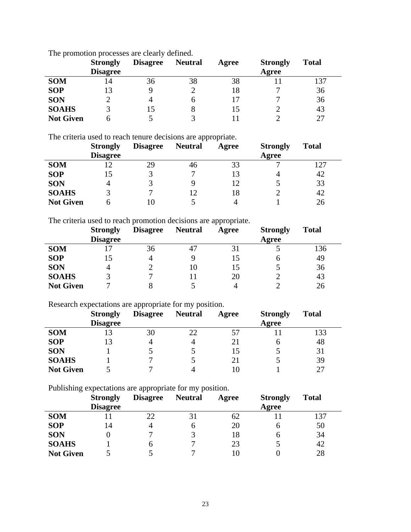|                  | <b>Strongly</b><br><b>Disagree</b> | <b>Disagree</b> | <b>Neutral</b> | Agree | <b>Strongly</b><br>Agree | <b>Total</b> |
|------------------|------------------------------------|-----------------|----------------|-------|--------------------------|--------------|
| <b>SOM</b>       | 14                                 | 36              | 38             | 38    |                          | 137          |
| <b>SOP</b>       | 13                                 |                 |                | 18    |                          | 36           |
| <b>SON</b>       |                                    | 4               |                |       |                          | 36           |
| <b>SOAHS</b>     |                                    | 15              |                | L5    |                          | 43           |
| <b>Not Given</b> |                                    |                 |                |       |                          | 27           |

The promotion processes are clearly defined.

The criteria used to reach tenure decisions are appropriate.

|                  | <b>Strongly</b> | <b>Disagree</b> | <b>Neutral</b> | Agree | <b>Strongly</b> | <b>Total</b> |
|------------------|-----------------|-----------------|----------------|-------|-----------------|--------------|
|                  | <b>Disagree</b> |                 |                |       | Agree           |              |
| <b>SOM</b>       | ۱?              | 29              | 46             | 33    |                 | .27          |
| <b>SOP</b>       | 15              |                 |                | 13    |                 | 42           |
| <b>SON</b>       | 4               |                 |                | 12    |                 | 33           |
| <b>SOAHS</b>     |                 |                 |                | 18    |                 | 42           |
| <b>Not Given</b> |                 |                 |                |       |                 | 26           |

The criteria used to reach promotion decisions are appropriate.

|                  | <b>Strongly</b><br><b>Disagree</b> | <b>Disagree</b> | <b>Neutral</b> | Agree | <b>Strongly</b><br>Agree | <b>Total</b> |
|------------------|------------------------------------|-----------------|----------------|-------|--------------------------|--------------|
| <b>SOM</b>       |                                    | 36              | 47             | 31    |                          | 136          |
| <b>SOP</b>       | 15                                 |                 |                | 15    | n                        | 49           |
| <b>SON</b>       | 4                                  |                 | 10             | 15    |                          | 36           |
| <b>SOAHS</b>     | $\mathbf{R}$                       |                 |                | 20    |                          | 43           |
| <b>Not Given</b> |                                    |                 |                | 4     |                          | 26           |

Research expectations are appropriate for my position.

|                  | <b>Strongly</b><br><b>Disagree</b> | <b>Disagree</b> | <b>Neutral</b> | Agree | <b>Strongly</b><br>Agree | <b>Total</b> |
|------------------|------------------------------------|-----------------|----------------|-------|--------------------------|--------------|
|                  |                                    |                 |                |       |                          |              |
| <b>SOM</b>       | 13                                 | 30              | 22             | 57    |                          | 133          |
| <b>SOP</b>       | 13                                 | 4               |                | 21    |                          | 48           |
| <b>SON</b>       |                                    |                 |                | 15    |                          | 31           |
| <b>SOAHS</b>     |                                    |                 |                | 21    |                          | 39           |
| <b>Not Given</b> |                                    |                 |                | l C   |                          | 27           |

Publishing expectations are appropriate for my position.

|                  | <b>Strongly</b><br><b>Disagree</b> | <b>Disagree</b> | <b>Neutral</b> | Agree | <b>Strongly</b><br>Agree | <b>Total</b> |
|------------------|------------------------------------|-----------------|----------------|-------|--------------------------|--------------|
| <b>SOM</b>       |                                    | 22              |                | 62    |                          | 137          |
| <b>SOP</b>       | 14                                 |                 | h              | 20    |                          | 50           |
| <b>SON</b>       |                                    |                 |                | 18    |                          | 34           |
| <b>SOAHS</b>     |                                    |                 |                | 23    |                          | 42           |
| <b>Not Given</b> |                                    |                 |                | IС    |                          | 28           |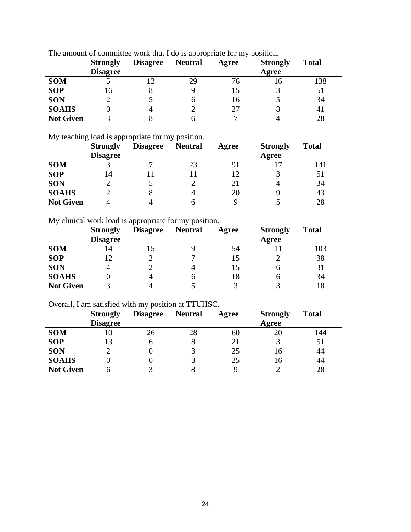|                  | <b>Strongly</b><br><b>Disagree</b> | <b>Disagree</b> | <b>Neutral</b> | Agree | <b>Strongly</b><br>Agree | <b>Total</b> |
|------------------|------------------------------------|-----------------|----------------|-------|--------------------------|--------------|
| <b>SOM</b>       |                                    |                 | 29             | 76    | 16                       | 138          |
| <b>SOP</b>       | l 6                                |                 |                |       |                          | 51           |
| <b>SON</b>       |                                    |                 | n              | 16    |                          | 34           |
| <b>SOAHS</b>     |                                    |                 |                | 27    |                          | 41           |
| <b>Not Given</b> |                                    |                 |                |       |                          | 28           |

The amount of committee work that I do is appropriate for my position.

My teaching load is appropriate for my position.

|                  | <b>Strongly</b> | <b>Disagree</b> | <b>Neutral</b> | Agree | <b>Strongly</b> | <b>Total</b> |
|------------------|-----------------|-----------------|----------------|-------|-----------------|--------------|
|                  | <b>Disagree</b> |                 |                |       | Agree           |              |
| <b>SOM</b>       |                 |                 | 23             | 91    |                 | 141          |
| <b>SOP</b>       | 14              |                 |                | 12    |                 | 51           |
| <b>SON</b>       |                 |                 |                | 21    |                 | 34           |
| <b>SOAHS</b>     |                 | 8               | Δ              | 20    |                 | 43           |
| <b>Not Given</b> |                 |                 |                |       |                 | 28           |

My clinical work load is appropriate for my position.

|                  | <b>Strongly</b> | <b>Disagree</b> | <b>Neutral</b> | Agree | <b>Strongly</b> | <b>Total</b> |
|------------------|-----------------|-----------------|----------------|-------|-----------------|--------------|
|                  | <b>Disagree</b> |                 |                |       | Agree           |              |
| <b>SOM</b>       | 14              |                 |                | 54    |                 | 103          |
| <b>SOP</b>       | 12              |                 |                | 15    |                 | 38           |
| <b>SON</b>       |                 |                 | 4              | 15    |                 | 31           |
| <b>SOAHS</b>     |                 |                 |                | 18    |                 | 34           |
| <b>Not Given</b> | 3               |                 |                |       |                 | 18           |

Overall, I am satisfied with my position at TTUHSC.

|                  | <b>Strongly</b> | <b>Disagree</b> | <b>Neutral</b> | Agree | <b>Strongly</b> | <b>Total</b> |
|------------------|-----------------|-----------------|----------------|-------|-----------------|--------------|
|                  | <b>Disagree</b> |                 |                |       | Agree           |              |
| <b>SOM</b>       | 10              | 26              | 28             | 60    | 20              | 144          |
| <b>SOP</b>       | 13              |                 |                | 21    |                 | 51           |
| <b>SON</b>       |                 |                 |                | 25    | 16              | 44           |
| <b>SOAHS</b>     |                 |                 |                | 25    | 16              | 44           |
| <b>Not Given</b> |                 |                 |                | q     |                 | 28           |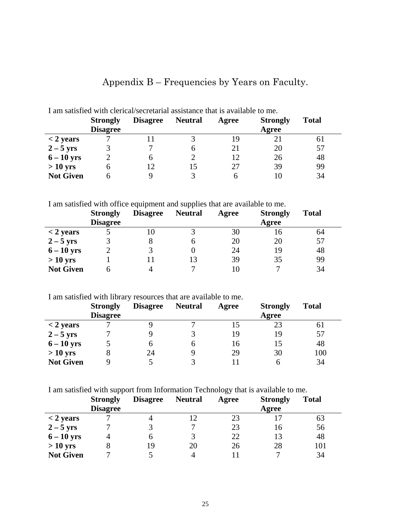| I am satisfied with clerical/secretarial assistance that is available to me. |                 |                 |                |       |                 |              |  |
|------------------------------------------------------------------------------|-----------------|-----------------|----------------|-------|-----------------|--------------|--|
|                                                                              | <b>Strongly</b> | <b>Disagree</b> | <b>Neutral</b> | Agree | <b>Strongly</b> | <b>Total</b> |  |
|                                                                              | <b>Disagree</b> |                 |                |       | Agree           |              |  |
| $<$ 2 years                                                                  |                 |                 |                | 19    |                 | 61           |  |
| $2-5$ yrs                                                                    |                 | 7               | h              | 21    | 20              | 57           |  |
| $6-10$ yrs                                                                   |                 | 6               |                | 12    | 26              | 48           |  |
| $>10$ yrs                                                                    |                 | 12              |                | 27    | 39              | 99           |  |
| <b>Not Given</b>                                                             |                 | q               |                | h     |                 | 34           |  |

# Appendix B – Frequencies by Years on Faculty.

I am satisfied with office equipment and supplies that are available to me.

|                  | <b>Strongly</b><br><b>Disagree</b> | <b>Disagree</b> | <b>Neutral</b> | Agree | <b>Strongly</b><br>Agree | <b>Total</b> |
|------------------|------------------------------------|-----------------|----------------|-------|--------------------------|--------------|
| $<$ 2 years      |                                    | 10              |                | 30    | 16                       | 64           |
| $2-5$ yrs        |                                    |                 |                | 20    | 20                       | 57           |
| $6-10$ yrs       |                                    |                 |                | 24    | 19                       | 48           |
| $>10$ yrs        |                                    |                 | 13             | 39    | 35                       | 99           |
| <b>Not Given</b> |                                    |                 |                |       |                          | 34           |

I am satisfied with library resources that are available to me.

|                  | <b>Strongly</b><br><b>Disagree</b> | <b>Disagree</b> | <b>Neutral</b> | Agree | <b>Strongly</b><br>Agree | <b>Total</b> |
|------------------|------------------------------------|-----------------|----------------|-------|--------------------------|--------------|
|                  |                                    |                 |                |       |                          |              |
| $<$ 2 years      |                                    |                 |                |       | 23                       | 61           |
| $2-5$ yrs        |                                    |                 |                | 19    | 19                       | 57           |
| $6-10$ yrs       |                                    | O               |                | 16    | 15                       | 48           |
| $>10$ yrs        |                                    | 24              |                | 29    | 30                       | 100          |
| <b>Not Given</b> |                                    |                 |                |       | n                        | 34           |

I am satisfied with support from Information Technology that is available to me.

|                  | <b>Strongly</b><br><b>Disagree</b> | <b>Disagree</b> | <b>Neutral</b> | Agree | <b>Strongly</b><br>Agree | <b>Total</b> |
|------------------|------------------------------------|-----------------|----------------|-------|--------------------------|--------------|
| $<$ 2 years      |                                    |                 |                | 23    |                          | 63           |
| $2-5$ yrs        |                                    |                 |                | 23    | 16                       | 56           |
| $6-10$ yrs       | 4                                  |                 |                | 22    | 13                       | 48           |
| $> 10$ yrs       | 8                                  | 19              | 20             | 26    | 28                       | 101          |
| <b>Not Given</b> |                                    |                 |                |       |                          | 34           |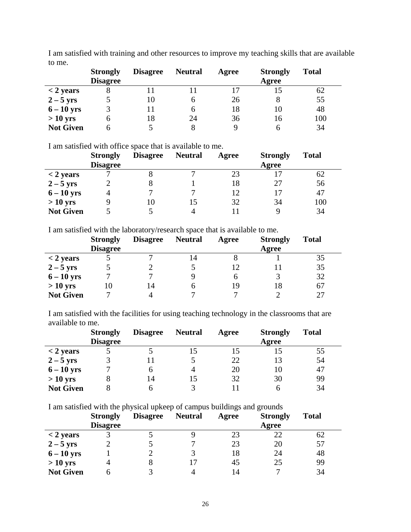|                  | <b>Strongly</b><br><b>Disagree</b> | <b>Disagree</b> | <b>Neutral</b> | Agree | <b>Strongly</b><br>Agree | <b>Total</b> |
|------------------|------------------------------------|-----------------|----------------|-------|--------------------------|--------------|
| $<$ 2 years      |                                    |                 |                |       | 15                       | 62           |
| $2-5$ yrs        |                                    | 10              |                | 26    |                          | 55           |
| $6-10$ yrs       |                                    | 11              | h              | 18    | 10                       | 48           |
| $>10$ yrs        |                                    | 18              | 24             | 36    | 16                       | 100          |
| <b>Not Given</b> |                                    |                 |                |       | h                        | 34           |

I am satisfied with training and other resources to improve my teaching skills that are available to me.

I am satisfied with office space that is available to me.

|                  | <b>Strongly</b> | <b>Disagree</b> | <b>Neutral</b> | Agree | <b>Strongly</b> | <b>Total</b> |
|------------------|-----------------|-----------------|----------------|-------|-----------------|--------------|
|                  | <b>Disagree</b> |                 |                |       | Agree           |              |
| $<$ 2 years      |                 | Õ               |                | 23    |                 | 62           |
| $2-5$ yrs        |                 |                 |                | 18    | 27              | 56           |
| $6-10$ yrs       |                 |                 |                | 12    |                 | 47           |
| $>10$ yrs        |                 | 10              |                | 32    | 34              | 100          |
| <b>Not Given</b> |                 |                 |                |       |                 | 34           |

I am satisfied with the laboratory/research space that is available to me.

|                  | <b>Strongly</b> | <b>Disagree</b> | <b>Neutral</b> | Agree | <b>Strongly</b> | <b>Total</b> |
|------------------|-----------------|-----------------|----------------|-------|-----------------|--------------|
|                  | <b>Disagree</b> |                 |                |       | Agree           |              |
| $<$ 2 years      |                 |                 |                |       |                 | 35           |
| $2-5$ yrs        |                 |                 |                | 12    |                 | 35           |
| $6 - 10$ yrs     |                 |                 |                | n     |                 | 32           |
| $>10$ yrs        | 10              | 14              |                | 19    | 18              | 67           |
| <b>Not Given</b> |                 |                 |                |       |                 | 27           |

I am satisfied with the facilities for using teaching technology in the classrooms that are available to me.

|                  | <b>Strongly</b><br><b>Disagree</b> | <b>Disagree</b> | <b>Neutral</b> | Agree | <b>Strongly</b><br>Agree | <b>Total</b> |
|------------------|------------------------------------|-----------------|----------------|-------|--------------------------|--------------|
| $<$ 2 years      |                                    |                 |                |       |                          | 55           |
| $2-5$ yrs        |                                    |                 |                | 22    | 13                       | 54           |
| $6-10$ yrs       |                                    |                 |                | 20    | 10                       | 47           |
| $>10$ yrs        |                                    | 14              | 15             | 32    | 30                       | 99           |
| <b>Not Given</b> |                                    |                 |                |       |                          | 34           |

I am satisfied with the physical upkeep of campus buildings and grounds

|                  | <b>Strongly</b> | <b>Disagree</b> | <b>Neutral</b> | Agree | <b>Strongly</b> | <b>Total</b> |
|------------------|-----------------|-----------------|----------------|-------|-----------------|--------------|
|                  | <b>Disagree</b> |                 |                |       | Agree           |              |
| $<$ 2 years      |                 |                 |                | 23    | 22              | 62           |
| $2-5$ yrs        |                 |                 |                | 23    | 20              | 57           |
| $6-10$ yrs       |                 |                 |                | 18    | 24              | 48           |
| $>10$ yrs        | 4               |                 |                | 45    | 25              | 99           |
| <b>Not Given</b> |                 |                 |                | 14    |                 | 34           |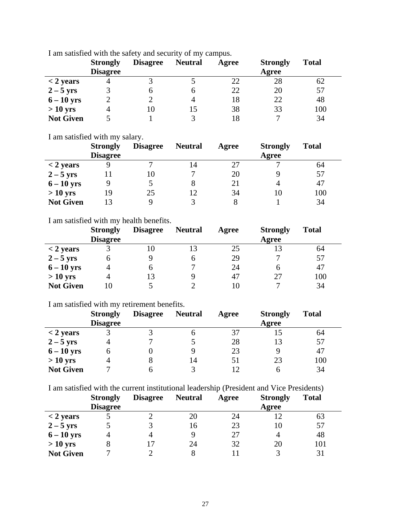|                  | <b>Strongly</b><br><b>Disagree</b> | <b>Disagree</b> | <b>Neutral</b> | Agree | <b>Strongly</b><br>Agree | <b>Total</b> |
|------------------|------------------------------------|-----------------|----------------|-------|--------------------------|--------------|
| $<$ 2 years      |                                    |                 |                | 22    | 28                       | 62           |
| $2-5$ yrs        |                                    |                 |                | 22    | 20                       | 57           |
| $6-10$ yrs       |                                    |                 |                | 18    | 22                       | 48           |
| $>10$ yrs        |                                    | 10              | 15             | 38    | 33                       | 100          |
| <b>Not Given</b> |                                    |                 |                | 18    | −                        | 34           |

I am satisfied with the safety and security of my campus.

I am satisfied with my salary.

|                  | <b>Strongly</b> | <b>Disagree</b> | <b>Neutral</b> | Agree | <b>Strongly</b> | <b>Total</b> |
|------------------|-----------------|-----------------|----------------|-------|-----------------|--------------|
|                  | <b>Disagree</b> |                 |                |       | Agree           |              |
| $<$ 2 years      |                 |                 | 14             | 27    |                 | 64           |
| $2-5$ yrs        |                 | 10              |                | 20    |                 | 57           |
| $6 - 10$ yrs     |                 |                 |                | 21    |                 | 47           |
| $>10$ yrs        | 19              | 25              | 12             | 34    | 10              | 100          |
| <b>Not Given</b> | 13              |                 |                |       |                 | 34           |

#### I am satisfied with my health benefits.

|                  | <b>Strongly</b><br><b>Disagree</b> | <b>Disagree</b> | <b>Neutral</b> | Agree | <b>Strongly</b><br>Agree | <b>Total</b> |
|------------------|------------------------------------|-----------------|----------------|-------|--------------------------|--------------|
| $<$ 2 years      |                                    | 10              |                | 25    |                          | 64           |
| $2-5$ yrs        | h                                  | 9               | n              | 29    |                          | 57           |
| $6-10$ yrs       |                                    | h               |                | 24    |                          | 47           |
| $>10$ yrs        |                                    | 13              |                | 47    |                          | 100          |
| <b>Not Given</b> | 10                                 |                 |                | 10    |                          | 34           |

I am satisfied with my retirement benefits.

|                  | <b>Strongly</b> | <b>Disagree</b> | <b>Neutral</b> | Agree | <b>Strongly</b> | <b>Total</b> |
|------------------|-----------------|-----------------|----------------|-------|-----------------|--------------|
|                  | <b>Disagree</b> |                 |                |       | Agree           |              |
| $<$ 2 years      |                 |                 |                | 37    |                 | 64           |
| $2-5$ yrs        |                 | −               |                | 28    |                 | 57           |
| $6-10$ yrs       |                 |                 |                | 23    |                 | 47           |
| $>10$ yrs        |                 | 8               | 14             | 51    | 23              | 100          |
| <b>Not Given</b> |                 | h               |                |       | n               | 34           |

I am satisfied with the current institutional leadership (President and Vice Presidents)

|                  | <b>Strongly</b><br><b>Disagree</b> | <b>Disagree</b> | <b>Neutral</b> | Agree | <b>Strongly</b><br>Agree | <b>Total</b> |
|------------------|------------------------------------|-----------------|----------------|-------|--------------------------|--------------|
| $<$ 2 years      |                                    |                 | 20             | 24    |                          | 63           |
| $2-5$ yrs        |                                    |                 | 16             | 23    | 10                       | 57           |
| $6-10$ yrs       |                                    | Δ               |                | 27    |                          | 48           |
| $> 10$ yrs       | 8                                  |                 | 24             | 32    | 20                       | 101          |
| <b>Not Given</b> |                                    |                 |                |       |                          | 31           |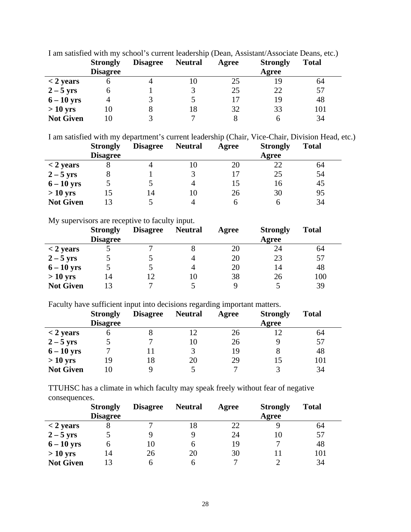| T and satisfied with my school s cartent readership (Dean, Tassistant Hissociate Deans, etc.) |                 |                 |                |       |                 |              |  |  |
|-----------------------------------------------------------------------------------------------|-----------------|-----------------|----------------|-------|-----------------|--------------|--|--|
|                                                                                               | <b>Strongly</b> | <b>Disagree</b> | <b>Neutral</b> | Agree | <b>Strongly</b> | <b>Total</b> |  |  |
|                                                                                               | <b>Disagree</b> |                 |                |       | Agree           |              |  |  |
| $<$ 2 years                                                                                   |                 |                 |                | 25    | 19              | 64           |  |  |
| $2 - 5$ yrs                                                                                   |                 |                 |                | 25    | 22              | 57           |  |  |
| $6-10$ yrs                                                                                    |                 |                 |                |       | 19              | 48           |  |  |
| $>10$ yrs                                                                                     | 10              | 8               |                | 32    | 33              | 101          |  |  |
| <b>Not Given</b>                                                                              | IO              |                 |                |       |                 | 34           |  |  |

I am satisfied with my school's current leadership (Dean, Assistant/Associate Deans, etc.)

I am satisfied with my department's current leadership (Chair, Vice-Chair, Division Head, etc.)

|                  | <b>Strongly</b> | <b>Disagree</b> | <b>Neutral</b> | Agree | <b>Strongly</b> | <b>Total</b> |
|------------------|-----------------|-----------------|----------------|-------|-----------------|--------------|
|                  | <b>Disagree</b> |                 |                |       | Agree           |              |
| $<$ 2 years      |                 |                 |                | 20    | 22              | 64           |
| $2-5$ yrs        |                 |                 |                |       | 25              | 54           |
| $6-10$ yrs       |                 |                 |                |       | 16              | 45           |
| $>10$ yrs        |                 | 14              |                | 26    | 30              | 95           |
| <b>Not Given</b> |                 |                 |                |       |                 | 34           |

My supervisors are receptive to faculty input.

|                  | <b>Strongly</b><br><b>Disagree</b> | <b>Disagree</b> | <b>Neutral</b> | Agree | <b>Strongly</b><br>Agree | <b>Total</b> |
|------------------|------------------------------------|-----------------|----------------|-------|--------------------------|--------------|
| $<$ 2 years      |                                    |                 |                | 20    | 24                       | 64           |
| $2-5$ yrs        |                                    |                 |                | 20    | 23                       | 57           |
| $6-10$ yrs       |                                    |                 |                | 20    | 14                       | 48           |
| $> 10$ yrs       | 14                                 |                 | 10             | 38    | 26                       | 100          |
| <b>Not Given</b> | 13                                 |                 |                | q     |                          | 39           |

Faculty have sufficient input into decisions regarding important matters.

|                  | <b>Strongly</b><br><b>Disagree</b> | <b>Disagree</b> | <b>Neutral</b> | Agree | <b>Strongly</b><br>Agree | <b>Total</b> |
|------------------|------------------------------------|-----------------|----------------|-------|--------------------------|--------------|
| $<$ 2 years      |                                    |                 |                | 26    |                          | 64           |
| $2 - 5$ yrs      |                                    |                 | 10             | 26    |                          | 57           |
| $6-10$ yrs       |                                    |                 |                | 19    |                          | 48           |
| $>10$ yrs        | 19                                 | 18              | 20             | 29    |                          | 101          |
| <b>Not Given</b> |                                    |                 |                |       |                          | 34           |

TTUHSC has a climate in which faculty may speak freely without fear of negative consequences.

|                  | <b>Strongly</b> | <b>Disagree</b> | <b>Neutral</b> | Agree | <b>Strongly</b> | <b>Total</b> |
|------------------|-----------------|-----------------|----------------|-------|-----------------|--------------|
|                  | <b>Disagree</b> |                 |                |       | Agree           |              |
| $<$ 2 years      |                 |                 | 18             | 22    |                 | 64           |
| $2-5$ yrs        |                 |                 |                | 24    | 10              | 57           |
| $6-10$ yrs       | O               | 10              | <sub>0</sub>   | 19    | −               | 48           |
| $>10$ yrs        | 14              | 26              | 20             | 30    |                 | 101          |
| <b>Not Given</b> | 13              |                 |                |       |                 | 34           |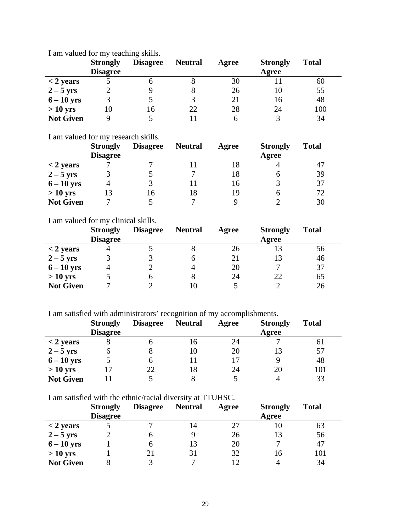|                  | <b>Strongly</b><br><b>Disagree</b> | <b>Disagree</b> | <b>Neutral</b> | Agree | <b>Strongly</b><br>Agree | <b>Total</b> |
|------------------|------------------------------------|-----------------|----------------|-------|--------------------------|--------------|
| $<$ 2 years      |                                    |                 |                | 30    |                          | 60           |
| $2-5$ yrs        |                                    |                 |                | 26    | 10                       | 55           |
| $6-10$ yrs       |                                    |                 |                | 21    | 16                       | 48           |
| $>10$ yrs        | 10                                 | 16              | 22             | 28    | 24                       | 100          |
| <b>Not Given</b> | Q                                  |                 |                | n     |                          | 34           |

I am valued for my teaching skills.

I am valued for my research skills.

|                  | <b>Strongly</b> | <b>Disagree</b> | <b>Neutral</b> | Agree | <b>Strongly</b> | <b>Total</b> |
|------------------|-----------------|-----------------|----------------|-------|-----------------|--------------|
|                  | <b>Disagree</b> |                 |                |       | Agree           |              |
| $<$ 2 years      |                 |                 |                | 18    |                 | 47           |
| $2-5$ yrs        |                 |                 |                | 18    | n               | 39           |
| $6-10$ yrs       |                 | 3               |                | 16    |                 | 37           |
| $>10$ yrs        | 13              | 16              | 18             | 19    |                 | 72           |
| <b>Not Given</b> |                 |                 |                |       |                 | 30           |

I am valued for my clinical skills.

|                  | <b>Strongly</b><br><b>Disagree</b> | <b>Disagree</b> | <b>Neutral</b> | Agree | <b>Strongly</b><br>Agree | <b>Total</b> |
|------------------|------------------------------------|-----------------|----------------|-------|--------------------------|--------------|
| $<$ 2 years      |                                    |                 |                | 26    |                          | 56           |
| $2-5$ yrs        |                                    |                 | h              | 21    |                          | 46           |
| $6-10$ yrs       |                                    |                 |                | 20    | −                        | 37           |
| $>10$ yrs        |                                    |                 |                | 24    | 22                       | 65           |
| <b>Not Given</b> |                                    |                 |                |       |                          | 26           |

I am satisfied with administrators' recognition of my accomplishments.

|                  | <b>Strongly</b> | <b>Disagree</b> | <b>Neutral</b> | Agree | <b>Strongly</b> | <b>Total</b> |
|------------------|-----------------|-----------------|----------------|-------|-----------------|--------------|
|                  | <b>Disagree</b> |                 |                |       | Agree           |              |
| $<$ 2 years      |                 |                 | 16.            | 24    |                 | 61           |
| $2-5$ yrs        | O               |                 | 10             | 20    |                 | 57           |
| $6-10$ yrs       |                 |                 |                | 17    |                 | 48           |
| $>10$ yrs        |                 | 22              | 18             | 24    | 20              | 101          |
| <b>Not Given</b> |                 |                 |                |       |                 | 33           |

I am satisfied with the ethnic/racial diversity at TTUHSC.

|                  | <b>Strongly</b> | <b>Disagree</b> | <b>Neutral</b> | Agree | <b>Strongly</b> | <b>Total</b> |
|------------------|-----------------|-----------------|----------------|-------|-----------------|--------------|
|                  | <b>Disagree</b> |                 |                |       | Agree           |              |
| $<$ 2 years      |                 |                 | 14             | 27    | 10              | 63           |
| $2-5$ yrs        |                 | O               |                | 26    | 13              | 56           |
| $6-10$ yrs       |                 | 6               |                | 20    | −               | 47           |
| $>10$ yrs        |                 | 21              | 31             | 32    | 16              | 101          |
| <b>Not Given</b> |                 |                 |                |       |                 | 34           |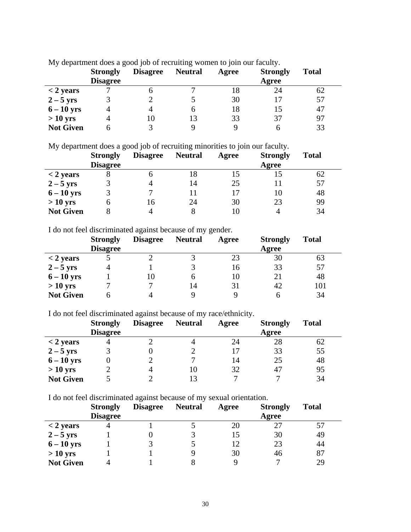|                  | <b>Strongly</b><br><b>Disagree</b> | <b>Disagree</b> | <b>Neutral</b> | Agree | <b>Strongly</b><br>Agree | <b>Total</b> |
|------------------|------------------------------------|-----------------|----------------|-------|--------------------------|--------------|
|                  |                                    |                 |                |       |                          |              |
| $<$ 2 years      |                                    | n               |                | 18    | 24                       | 62           |
| $2-5$ yrs        |                                    |                 |                | 30    |                          | 57           |
| $6-10$ yrs       |                                    | 4               |                | 18    |                          | 47           |
| $>10$ yrs        |                                    | 10              | 13             | 33    | 37                       | 97           |
| <b>Not Given</b> |                                    |                 |                | Q     |                          | 33           |

My department does a good job of recruiting women to join our faculty.

My department does a good job of recruiting minorities to join our faculty.

|                  | <b>Strongly</b> | <b>Disagree</b> | <b>Neutral</b> | Agree | <b>Strongly</b> | <b>Total</b> |
|------------------|-----------------|-----------------|----------------|-------|-----------------|--------------|
|                  | <b>Disagree</b> |                 |                |       | Agree           |              |
| $<$ 2 years      |                 |                 | 18             | 15    |                 | 62           |
| $2-5$ yrs        |                 |                 | 14             | 25    |                 | 57           |
| $6-10$ yrs       |                 |                 |                | 17    |                 | 48           |
| $>10$ yrs        | n               | 16              | 24             | 30    | 23              | 99           |
| <b>Not Given</b> |                 |                 |                | 10    |                 | 34           |

I do not feel discriminated against because of my gender.

|                  | <b>Strongly</b> | <b>Disagree</b> | <b>Neutral</b> | Agree | <b>Strongly</b> | <b>Total</b> |
|------------------|-----------------|-----------------|----------------|-------|-----------------|--------------|
|                  | <b>Disagree</b> |                 |                |       | Agree           |              |
| $<$ 2 years      |                 |                 |                | 23    | 30              | 63           |
| $2-5$ yrs        |                 |                 |                | 16    | 33              | 57           |
| $6 - 10$ yrs     |                 | 10              | 6              | 10    | 21              | 48           |
| $>10$ yrs        |                 |                 | 14             | 31    | 42              | 101          |
| <b>Not Given</b> |                 |                 |                | Q     |                 | 34           |

I do not feel discriminated against because of my race/ethnicity.

|                  | <b>Strongly</b> | <b>Disagree</b> | <b>Neutral</b> | Agree | <b>Strongly</b> | <b>Total</b> |
|------------------|-----------------|-----------------|----------------|-------|-----------------|--------------|
|                  | <b>Disagree</b> |                 |                |       | Agree           |              |
| $<$ 2 years      |                 |                 |                | 24    | 28              | 62           |
| $2-5$ yrs        |                 |                 |                |       | 33              | 55           |
| $6 - 10$ yrs     |                 |                 |                | 14    | 25              | 48           |
| $>10$ yrs        |                 |                 |                | 32    | 47              | 95           |
| <b>Not Given</b> |                 |                 |                |       |                 | 34           |

I do not feel discriminated against because of my sexual orientation.

|                  | <b>Strongly</b><br><b>Disagree</b> | <b>Disagree</b> | <b>Neutral</b> | Agree | <b>Strongly</b><br>Agree | <b>Total</b> |
|------------------|------------------------------------|-----------------|----------------|-------|--------------------------|--------------|
| $<$ 2 years      |                                    |                 |                | 20    | 27                       | 57           |
| $2-5$ yrs        |                                    |                 |                | 15    | 30                       | 49           |
| $6 - 10$ yrs     |                                    | 3               |                | 12    | 23                       | 44           |
| $>10$ yrs        |                                    |                 |                | 30    | 46                       | 87           |
| <b>Not Given</b> |                                    |                 |                |       | −                        | 29           |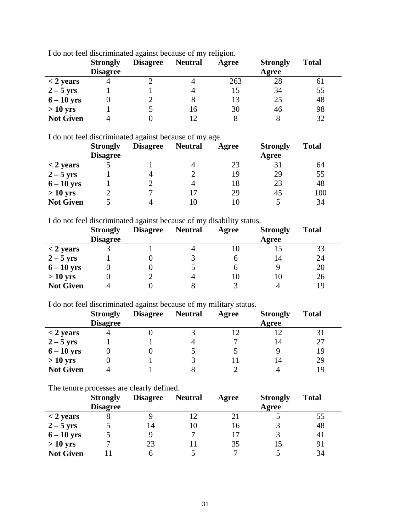|                  | <b>Strongly</b><br><b>Disagree</b> | <b>Disagree</b> | <b>Neutral</b> | Agree | <b>Strongly</b><br>Agree | <b>Total</b> |
|------------------|------------------------------------|-----------------|----------------|-------|--------------------------|--------------|
| $<$ 2 years      |                                    |                 |                | 263   | 28                       | 61           |
| $2-5$ yrs        |                                    |                 |                | 15    | 34                       | 55           |
| $6-10$ yrs       |                                    |                 |                | 13    | 25                       | 48           |
| $>10$ yrs        |                                    |                 | 16             | 30    | 46                       | 98           |
| <b>Not Given</b> |                                    |                 |                |       |                          | 32           |

I do not feel discriminated against because of my religion.

I do not feel discriminated against because of my age.

|                  | <b>Strongly</b> | <b>Disagree</b> | <b>Neutral</b> | Agree | <b>Strongly</b> | <b>Total</b> |
|------------------|-----------------|-----------------|----------------|-------|-----------------|--------------|
|                  | <b>Disagree</b> |                 |                |       | Agree           |              |
| $<$ 2 years      |                 |                 |                | 23    | 31              | 64           |
| $2 - 5$ yrs      |                 | 4               |                | 19    | 29              | 55           |
| $6-10$ yrs       |                 |                 |                | 18    | 23              | 48           |
| $>10$ yrs        |                 |                 |                | 29    | 45              | 100          |
| <b>Not Given</b> |                 |                 |                | l ()  |                 | 34           |

I do not feel discriminated against because of my disability status.

|                  | <b>Strongly</b><br><b>Disagree</b> | <b>Disagree</b> | <b>Neutral</b> | Agree | <b>Strongly</b><br>Agree | <b>Total</b> |
|------------------|------------------------------------|-----------------|----------------|-------|--------------------------|--------------|
| $<$ 2 years      |                                    |                 |                | 10    |                          | 33           |
| $2-5$ yrs        |                                    |                 |                | h     | 14                       | 24           |
| $6-10$ yrs       |                                    |                 |                | h     |                          | 20           |
| $>10$ yrs        |                                    |                 |                | 10    | 10                       | 26           |
| <b>Not Given</b> |                                    |                 |                |       |                          | 19           |

I do not feel discriminated against because of my military status.

|                  | <b>Strongly</b><br><b>Disagree</b> | <b>Disagree</b> | <b>Neutral</b> | Agree | <b>Strongly</b><br>Agree | <b>Total</b> |
|------------------|------------------------------------|-----------------|----------------|-------|--------------------------|--------------|
| $<$ 2 years      |                                    |                 |                |       |                          | 31           |
| $2-5$ yrs        |                                    |                 |                |       | 14                       | 27           |
| $6-10$ yrs       |                                    |                 |                |       |                          | 19           |
| $>10$ yrs        |                                    |                 |                |       | 14                       | 29           |
| <b>Not Given</b> |                                    |                 |                |       |                          | 19           |

The tenure processes are clearly defined.

|                  | <b>Strongly</b><br><b>Disagree</b> | <b>Disagree</b> | <b>Neutral</b> | Agree | <b>Strongly</b><br>Agree | <b>Total</b> |
|------------------|------------------------------------|-----------------|----------------|-------|--------------------------|--------------|
| $<$ 2 years      |                                    |                 |                | 21    |                          | 55           |
| $2-5$ yrs        |                                    | 14              | 10             | 16    |                          | 48           |
| $6-10$ yrs       |                                    |                 |                |       |                          | 41           |
| $>10$ yrs        |                                    | 23              |                | 35    |                          | 91           |
| <b>Not Given</b> |                                    | h               |                |       |                          | 34           |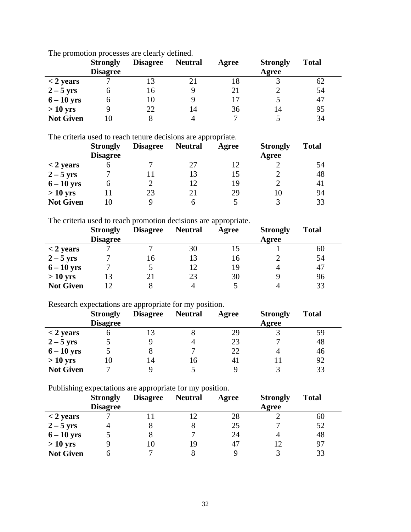|                  | <b>Strongly</b><br><b>Disagree</b> | <b>Disagree</b> | <b>Neutral</b> | Agree | <b>Strongly</b><br>Agree | <b>Total</b> |
|------------------|------------------------------------|-----------------|----------------|-------|--------------------------|--------------|
| $<$ 2 years      |                                    |                 |                | 18    |                          | 62           |
| $2-5$ yrs        | O                                  | 16              |                | 21    |                          | 54           |
| $6-10$ yrs       | n                                  | 10              |                | 17    |                          | 47           |
| $>10$ yrs        |                                    | 22              | 14             | 36    | 14                       | 95           |
| <b>Not Given</b> | Ю                                  |                 |                |       |                          | 34           |

The promotion processes are clearly defined.

The criteria used to reach tenure decisions are appropriate.

|                  | <b>Strongly</b><br><b>Disagree</b> | <b>Disagree</b> | <b>Neutral</b> | Agree | <b>Strongly</b><br>Agree | <b>Total</b> |
|------------------|------------------------------------|-----------------|----------------|-------|--------------------------|--------------|
| $<$ 2 years      |                                    |                 |                |       |                          | 54           |
| $2-5$ yrs        |                                    |                 |                | 15    |                          | 48           |
| $6-10$ yrs       | n                                  |                 | 12             | 19    |                          | 41           |
| $>10$ yrs        |                                    | 23              | 21             | 29    |                          | 94           |
| <b>Not Given</b> |                                    |                 |                |       |                          | 33           |

The criteria used to reach promotion decisions are appropriate.

|                  | <b>Strongly</b><br><b>Disagree</b> | <b>Disagree</b> | <b>Neutral</b> | Agree | <b>Strongly</b><br>Agree | <b>Total</b> |
|------------------|------------------------------------|-----------------|----------------|-------|--------------------------|--------------|
| $<$ 2 years      |                                    | −               | 30             | 15    |                          | 60           |
| $2-5$ yrs        |                                    | 16              | 13             | 16    |                          | 54           |
| $6-10$ yrs       |                                    |                 | 12             | 19    |                          | 47           |
| $>10$ yrs        | 13                                 | 21              | 23             | 30    |                          | 96           |
| <b>Not Given</b> | 12                                 |                 |                |       |                          | 33           |

Research expectations are appropriate for my position.

|                  | <b>Strongly</b><br><b>Disagree</b> | <b>Disagree</b> | <b>Neutral</b> | Agree | <b>Strongly</b><br>Agree | <b>Total</b> |
|------------------|------------------------------------|-----------------|----------------|-------|--------------------------|--------------|
| $<$ 2 years      |                                    | 13              |                | 29    |                          | 59           |
| $2-5$ yrs        |                                    |                 |                | 23    |                          | 48           |
| $6 - 10$ yrs     |                                    | 8               |                | 22    |                          | 46           |
| $>10$ yrs        | 10                                 | 14              | 16             | 41    |                          | 92           |
| <b>Not Given</b> |                                    |                 |                |       |                          | 33           |

Publishing expectations are appropriate for my position.

|                  | <b>Strongly</b><br><b>Disagree</b> | <b>Disagree</b> | <b>Neutral</b> | Agree | <b>Strongly</b><br>Agree | <b>Total</b> |
|------------------|------------------------------------|-----------------|----------------|-------|--------------------------|--------------|
| $<$ 2 years      |                                    |                 |                | 28    |                          | 60           |
| $2-5$ yrs        |                                    |                 |                | 25    |                          | 52           |
| $6-10$ yrs       |                                    |                 |                | 24    |                          | 48           |
| $>10$ yrs        |                                    | 10              | 19             | 47    |                          | 97           |
| <b>Not Given</b> |                                    |                 |                |       |                          | 33           |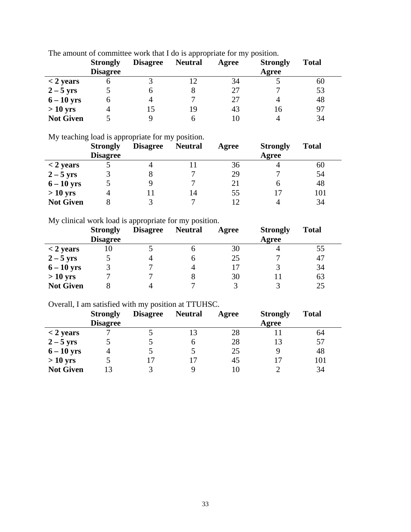|                  | <b>Strongly</b><br><b>Disagree</b> | <b>Disagree</b> | <b>Neutral</b> | Agree | <b>Strongly</b><br>Agree | <b>Total</b> |
|------------------|------------------------------------|-----------------|----------------|-------|--------------------------|--------------|
| $<$ 2 years      | o                                  |                 |                | 34    |                          | 60           |
| $2-5$ yrs        |                                    |                 |                | 27    |                          | 53           |
| $6-10$ yrs       | n                                  |                 |                | 27    |                          | 48           |
| $>10$ yrs        |                                    |                 | 19             | 43    | 16                       | 97           |
| <b>Not Given</b> |                                    |                 |                | 10    |                          | 34           |

The amount of committee work that I do is appropriate for my position.

My teaching load is appropriate for my position.

|                  | <b>Strongly</b> | <b>Disagree</b> | <b>Neutral</b> | Agree | <b>Strongly</b> | <b>Total</b> |
|------------------|-----------------|-----------------|----------------|-------|-----------------|--------------|
|                  | <b>Disagree</b> |                 |                |       | Agree           |              |
| $<$ 2 years      |                 |                 |                | 36    |                 | 60           |
| $2-5$ yrs        |                 |                 |                | 29    |                 | 54           |
| $6-10$ yrs       |                 |                 |                | 21    |                 | 48           |
| $>10$ yrs        |                 |                 | 14             | 55    |                 | 101          |
| <b>Not Given</b> |                 |                 |                | 12    |                 | 34           |

My clinical work load is appropriate for my position.

|                  | <b>Strongly</b><br><b>Disagree</b> | <b>Disagree</b> | <b>Neutral</b> | Agree | <b>Strongly</b><br>Agree | <b>Total</b> |
|------------------|------------------------------------|-----------------|----------------|-------|--------------------------|--------------|
| $<$ 2 years      |                                    |                 |                | 30    |                          | 55           |
| $2-5$ yrs        |                                    |                 |                | 25    |                          | 47           |
| $6 - 10$ yrs     |                                    |                 |                | 17    |                          | 34           |
| $>10$ yrs        |                                    |                 |                | 30    |                          | 63           |
| <b>Not Given</b> |                                    |                 |                |       |                          | 25           |

#### Overall, I am satisfied with my position at TTUHSC.

|                  | <b>Strongly</b><br><b>Disagree</b> | <b>Disagree</b> | <b>Neutral</b> | Agree | <b>Strongly</b><br>Agree | <b>Total</b> |
|------------------|------------------------------------|-----------------|----------------|-------|--------------------------|--------------|
| $<$ 2 years      |                                    |                 |                | 28    |                          | 64           |
| $2-5$ yrs        |                                    |                 |                | 28    |                          | 57           |
| $6 - 10$ yrs     |                                    |                 |                | 25    |                          | 48           |
| $>10$ yrs        |                                    |                 |                | 45    |                          | 101          |
| <b>Not Given</b> |                                    | 3               |                | 10    |                          | 34           |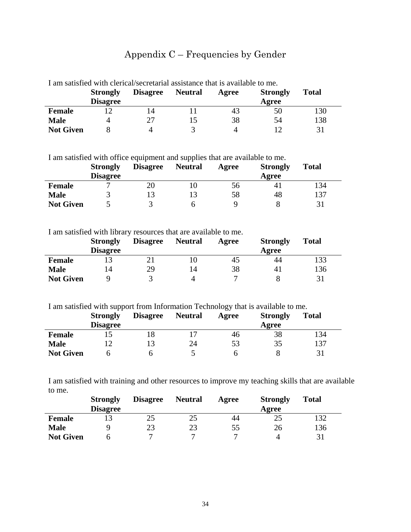# Appendix C – Frequencies by Gender

|                  | <b>Strongly</b><br><b>Disagree</b> | T alli saustied with ciencal/secretarial assistance that is available to me.<br><b>Disagree</b> | <b>Neutral</b> | Agree | <b>Strongly</b><br>Agree | Total |
|------------------|------------------------------------|-------------------------------------------------------------------------------------------------|----------------|-------|--------------------------|-------|
| <b>Female</b>    |                                    | 14                                                                                              |                | 43    | 50                       | 130   |
| <b>Male</b>      | 4                                  | 27                                                                                              |                | 38    | 54                       | 138   |
| <b>Not Given</b> |                                    |                                                                                                 |                |       |                          | 31    |

I am satisfied with clerical/secretarial assistance that is available to me.

I am satisfied with office equipment and supplies that are available to me.

|                  | <b>Strongly</b> | <b>Disagree</b> | <b>Neutral</b> | Agree | <b>Strongly</b> | <b>Total</b> |
|------------------|-----------------|-----------------|----------------|-------|-----------------|--------------|
|                  | <b>Disagree</b> |                 |                |       | Agree           |              |
| <b>Female</b>    |                 | 20              |                | 56    | 4               | 134          |
| <b>Male</b>      |                 |                 |                | 58    | 48              | 137          |
| <b>Not Given</b> |                 |                 |                |       |                 | 31           |

I am satisfied with library resources that are available to me.

|                  | <b>Strongly</b> | <b>Disagree</b> | <b>Neutral</b> | Agree | <b>Strongly</b> | <b>Total</b> |
|------------------|-----------------|-----------------|----------------|-------|-----------------|--------------|
|                  | <b>Disagree</b> |                 |                |       | Agree           |              |
| <b>Female</b>    |                 |                 |                | 45    | 44              | 133          |
| <b>Male</b>      | ، 4             | 29              | 14             | 38    | 4 <sub>1</sub>  | 136          |
| <b>Not Given</b> |                 |                 |                |       |                 | 31           |

I am satisfied with support from Information Technology that is available to me.

|                  | <b>Strongly</b> | <b>Disagree</b> | <b>Neutral</b> | Agree | <b>Strongly</b> | <b>Total</b> |
|------------------|-----------------|-----------------|----------------|-------|-----------------|--------------|
|                  | <b>Disagree</b> |                 |                |       | Agree           |              |
| <b>Female</b>    |                 | ۱ð              |                | 46    | 38              | 134          |
| <b>Male</b>      |                 |                 | 24             | 53    | 35              | 137          |
| <b>Not Given</b> |                 |                 |                |       |                 | 31           |

I am satisfied with training and other resources to improve my teaching skills that are available to me.

|                  | <b>Strongly</b> | <b>Disagree</b> | <b>Neutral</b> | Agree | <b>Strongly</b> | <b>Total</b> |
|------------------|-----------------|-----------------|----------------|-------|-----------------|--------------|
|                  | <b>Disagree</b> |                 |                |       | Agree           |              |
| <b>Female</b>    |                 | 25              | 25             | 44    | 25              | 32           |
| <b>Male</b>      |                 | 23              | 23             | 55    | 26              | 136          |
| <b>Not Given</b> |                 | ┍               |                |       |                 |              |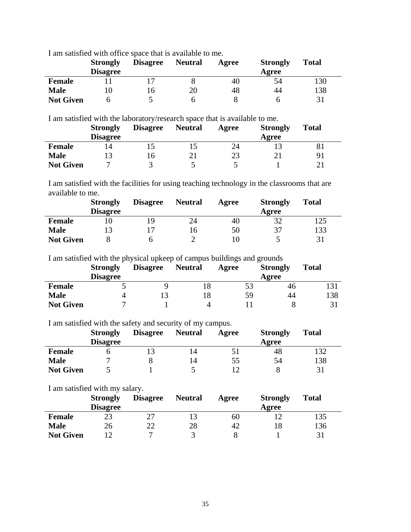I am satisfied with office space that is available to me.

|                  | <b>Strongly</b><br><b>Disagree</b> | <b>Disagree</b> | <b>Neutral</b> | Agree | <b>Strongly</b><br>Agree | <b>Total</b> |
|------------------|------------------------------------|-----------------|----------------|-------|--------------------------|--------------|
| <b>Female</b>    |                                    |                 |                | 40    | 54                       | 130          |
| <b>Male</b>      | ГU                                 |                 | 20             | 48    | 44                       | 138          |
| <b>Not Given</b> |                                    |                 |                |       |                          | 31           |

I am satisfied with the laboratory/research space that is available to me.

|                  | <b>Strongly</b> | <b>Disagree</b> | <b>Neutral</b> | Agree | <b>Strongly</b> | <b>Total</b> |
|------------------|-----------------|-----------------|----------------|-------|-----------------|--------------|
|                  | <b>Disagree</b> |                 |                |       | Agree           |              |
| <b>Female</b>    |                 |                 |                | 24    |                 | 81           |
| <b>Male</b>      |                 |                 |                | 23    |                 | 91           |
| <b>Not Given</b> |                 |                 |                |       |                 |              |

I am satisfied with the facilities for using teaching technology in the classrooms that are available to me.

|                  | <b>Strongly</b> | <b>Disagree</b> | <b>Neutral</b> | Agree | <b>Strongly</b> | <b>Total</b> |
|------------------|-----------------|-----------------|----------------|-------|-----------------|--------------|
|                  | <b>Disagree</b> |                 |                |       | Agree           |              |
| <b>Female</b>    |                 | 1 Q             | 24             | 40    | 32              | 125          |
| <b>Male</b>      |                 |                 | 16             | 50    | 37              | 133          |
| <b>Not Given</b> |                 |                 |                |       |                 |              |

I am satisfied with the physical upkeep of campus buildings and grounds

|                  | <b>Strongly</b> | <b>Disagree</b> | <b>Neutral</b> | Agree | <b>Strongly</b> | <b>Total</b> |
|------------------|-----------------|-----------------|----------------|-------|-----------------|--------------|
|                  | <b>Disagree</b> |                 |                |       | Agree           |              |
| <b>Female</b>    |                 |                 |                | 53    | 46              | 131          |
| <b>Male</b>      |                 |                 |                | 59    | 44              | 138          |
| <b>Not Given</b> |                 |                 |                |       |                 |              |

I am satisfied with the safety and security of my campus.

|                  | <b>Strongly</b> | <b>Disagree</b> | <b>Neutral</b> | Agree | <b>Strongly</b> | <b>Total</b> |
|------------------|-----------------|-----------------|----------------|-------|-----------------|--------------|
|                  | <b>Disagree</b> |                 |                |       | Agree           |              |
| <b>Female</b>    |                 |                 | 4              |       | 48              | 132          |
| <b>Male</b>      |                 |                 | 4              | 55    | 54              | 138          |
| <b>Not Given</b> |                 |                 |                |       |                 | 31           |

I am satisfied with my salary.

|                  | <b>Strongly</b> | <b>Disagree</b> | <b>Neutral</b> | Agree | <b>Strongly</b> | <b>Total</b> |
|------------------|-----------------|-----------------|----------------|-------|-----------------|--------------|
|                  | <b>Disagree</b> |                 |                |       | Agree           |              |
| <b>Female</b>    |                 |                 |                | 60    |                 | 135          |
| <b>Male</b>      | 26              | າາ              | 28             | 42    |                 | 136          |
| <b>Not Given</b> |                 |                 |                |       |                 | 31           |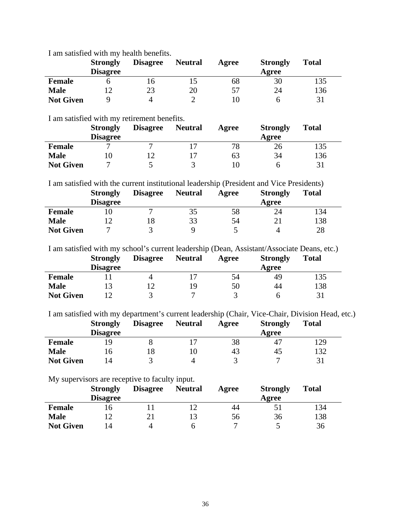I am satisfied with my health benefits.

|                  | <b>Strongly</b><br><b>Disagree</b> | <b>Disagree</b> | <b>Neutral</b> | Agree | <b>Strongly</b><br>Agree | <b>Total</b> |
|------------------|------------------------------------|-----------------|----------------|-------|--------------------------|--------------|
| <b>Female</b>    |                                    | I N             |                | 68    | 30                       | 135          |
| <b>Male</b>      |                                    | 23              | 20             | 57    | 24                       | 136          |
| <b>Not Given</b> |                                    | Δ               |                |       |                          | 31           |

I am satisfied with my retirement benefits.

|                  | <b>Strongly</b> | <b>Disagree</b> | <b>Neutral</b> | Agree | <b>Strongly</b> | <b>Total</b> |
|------------------|-----------------|-----------------|----------------|-------|-----------------|--------------|
|                  | <b>Disagree</b> |                 |                |       | Agree           |              |
| <b>Female</b>    |                 |                 |                | 78    | 26              | 135          |
| <b>Male</b>      |                 |                 |                | 63    | 34              | 136          |
| <b>Not Given</b> |                 |                 |                |       |                 | 31           |

I am satisfied with the current institutional leadership (President and Vice Presidents)

|                  | <b>Strongly</b> | <b>Disagree</b> | <b>Neutral</b> | Agree | <b>Strongly</b> | <b>Total</b> |
|------------------|-----------------|-----------------|----------------|-------|-----------------|--------------|
|                  | <b>Disagree</b> |                 |                |       | Agree           |              |
| <b>Female</b>    |                 |                 |                | 58    | 24              | 134          |
| <b>Male</b>      |                 |                 | 33             | 54    |                 | 138          |
| <b>Not Given</b> |                 |                 |                |       |                 | 28           |

I am satisfied with my school's current leadership (Dean, Assistant/Associate Deans, etc.)

|                  | <b>Strongly</b> | <b>Disagree</b> | <b>Neutral</b> | Agree | <b>Strongly</b> | <b>Total</b> |
|------------------|-----------------|-----------------|----------------|-------|-----------------|--------------|
|                  | <b>Disagree</b> |                 |                |       | Agree           |              |
| <b>Female</b>    |                 |                 |                | 54    | 49              | 135          |
| <b>Male</b>      |                 |                 | 1 Q            | 50    | 44              | 138          |
| <b>Not Given</b> |                 |                 |                |       |                 | 31           |

I am satisfied with my department's current leadership (Chair, Vice-Chair, Division Head, etc.)

|                  | <b>Strongly</b> | <b>Disagree</b> | <b>Neutral</b> | Agree | <b>Strongly</b> | <b>Total</b> |
|------------------|-----------------|-----------------|----------------|-------|-----------------|--------------|
|                  | <b>Disagree</b> |                 |                |       | Agree           |              |
| <b>Female</b>    | <sub>Q</sub>    |                 |                | 38    | 47              | 129          |
| <b>Male</b>      | . ი             |                 |                | 43    | 45              | 132          |
| <b>Not Given</b> | ι4              |                 |                |       |                 |              |

My supervisors are receptive to faculty input.

|                  | <b>Strongly</b> | <b>Disagree</b> | <b>Neutral</b> | Agree | <b>Strongly</b> | <b>Total</b> |
|------------------|-----------------|-----------------|----------------|-------|-----------------|--------------|
|                  | <b>Disagree</b> |                 |                |       | Agree           |              |
| <b>Female</b>    |                 |                 |                | 44    |                 | 134          |
| <b>Male</b>      |                 |                 |                | 56    | 36              | 138          |
| <b>Not Given</b> | 14              |                 |                |       |                 | 36           |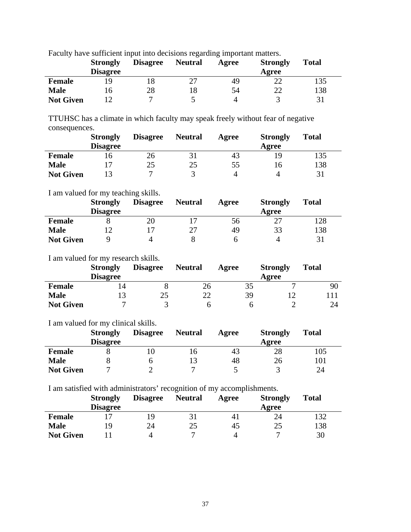|                  | <b>Strongly</b><br><b>Disagree</b> | <b>Disagree</b> | <b>Neutral</b> | Agree | <b>Strongly</b><br>Agree | <b>Total</b> |
|------------------|------------------------------------|-----------------|----------------|-------|--------------------------|--------------|
| <b>Female</b>    | <b>Q</b>                           |                 |                | 49    |                          | 135          |
| <b>Male</b>      |                                    | 28              |                | 54    | 22                       | 138          |
| <b>Not Given</b> |                                    |                 |                |       |                          | 31           |

Faculty have sufficient input into decisions regarding important matters.

TTUHSC has a climate in which faculty may speak freely without fear of negative consequences.

|                  | <b>Strongly</b><br><b>Disagree</b> | <b>Disagree</b> | <b>Neutral</b> | Agree | <b>Strongly</b><br>Agree | <b>Total</b> |
|------------------|------------------------------------|-----------------|----------------|-------|--------------------------|--------------|
| <b>Female</b>    |                                    | 26              |                | 43    |                          | 135          |
| <b>Male</b>      |                                    | 25              | 25             | 55    |                          | 138          |
| <b>Not Given</b> |                                    |                 |                |       |                          | 31           |

#### I am valued for my teaching skills.

|                  | <b>Strongly</b> | <b>Disagree</b> | <b>Neutral</b> | Agree | <b>Strongly</b> | <b>Total</b> |
|------------------|-----------------|-----------------|----------------|-------|-----------------|--------------|
|                  | <b>Disagree</b> |                 |                |       | Agree           |              |
| <b>Female</b>    |                 | 20              |                | 56    |                 | 128          |
| <b>Male</b>      |                 |                 |                | 49    | 33              | 138          |
| <b>Not Given</b> |                 | ப               |                |       |                 | 31           |

I am valued for my research skills.

|                  | <b>Strongly</b> | <b>Disagree</b> | <b>Neutral</b> | Agree | <b>Strongly</b> | <b>Total</b> |
|------------------|-----------------|-----------------|----------------|-------|-----------------|--------------|
|                  | <b>Disagree</b> |                 |                |       | Agree           |              |
| <b>Female</b>    |                 |                 | 26             | 35    | ┍               | 90           |
| <b>Male</b>      |                 | 25              | 22             | 39    |                 |              |
| <b>Not Given</b> |                 |                 |                |       |                 | 24           |

I am valued for my clinical skills.

|                  | <b>Strongly</b> | <b>Disagree</b> | <b>Neutral</b> | Agree | <b>Strongly</b> | <b>Total</b> |
|------------------|-----------------|-----------------|----------------|-------|-----------------|--------------|
|                  | <b>Disagree</b> |                 |                |       | Agree           |              |
| <b>Female</b>    |                 |                 |                | 43    | 28              | 105          |
| <b>Male</b>      |                 |                 |                | 48    | 26              | 101          |
| <b>Not Given</b> |                 |                 |                |       |                 | 24           |

I am satisfied with administrators' recognition of my accomplishments.

|                  | <b>Strongly</b> | <b>Disagree</b> | <b>Neutral</b> | Agree          | <b>Strongly</b> | <b>Total</b> |
|------------------|-----------------|-----------------|----------------|----------------|-----------------|--------------|
|                  | <b>Disagree</b> |                 |                |                | Agree           |              |
| <b>Female</b>    |                 |                 |                | 4 <sub>1</sub> | 24              | 132          |
| <b>Male</b>      | 19              | 24              | 25             | 45             | 25              | 138          |
| <b>Not Given</b> |                 | 4               |                |                |                 | 30           |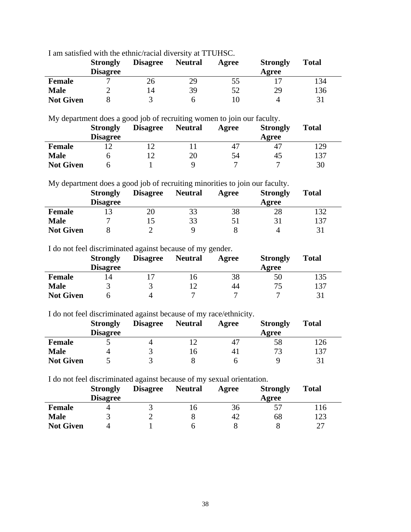I am satisfied with the ethnic/racial diversity at TTUHSC.

|                  | <b>Strongly</b><br><b>Disagree</b> | <b>Disagree</b> | <b>Neutral</b> | Agree | <b>Strongly</b><br>Agree | <b>Total</b> |
|------------------|------------------------------------|-----------------|----------------|-------|--------------------------|--------------|
| <b>Female</b>    |                                    | 26              | 29             | 55    |                          | 134          |
| <b>Male</b>      |                                    | 14              | 39             | 52    | 29                       | 136          |
| <b>Not Given</b> |                                    |                 |                |       |                          | 31           |

My department does a good job of recruiting women to join our faculty.

|                  | <b>Strongly</b> | <b>Disagree</b> | <b>Neutral</b> | Agree | <b>Strongly</b> | <b>Total</b> |
|------------------|-----------------|-----------------|----------------|-------|-----------------|--------------|
|                  | <b>Disagree</b> |                 |                |       | Agree           |              |
| <b>Female</b>    |                 |                 |                | 47    | 4               | 129          |
| <b>Male</b>      |                 |                 | 20             | 54    | 45              | 137          |
| <b>Not Given</b> |                 |                 |                |       |                 | 30           |

My department does a good job of recruiting minorities to join our faculty.

|                  | <b>Strongly</b><br><b>Disagree</b> | <b>Disagree</b> | <b>Neutral</b> | Agree | <b>Strongly</b><br>Agree | <b>Total</b> |
|------------------|------------------------------------|-----------------|----------------|-------|--------------------------|--------------|
| <b>Female</b>    |                                    | 20              | 33             | 38    | 28                       | 132          |
| <b>Male</b>      |                                    |                 | 33             |       |                          | 137          |
| <b>Not Given</b> |                                    |                 |                |       |                          | 31           |

I do not feel discriminated against because of my gender.

|                  | <b>Strongly</b><br><b>Disagree</b> | <b>Disagree</b> | <b>Neutral</b> | Agree | <b>Strongly</b><br>Agree | <b>Total</b> |
|------------------|------------------------------------|-----------------|----------------|-------|--------------------------|--------------|
| <b>Female</b>    | $\overline{4}$                     |                 | ιo             | 38    | 50                       | 135          |
| <b>Male</b>      |                                    |                 |                | 44    |                          | 137          |
| <b>Not Given</b> |                                    |                 |                |       |                          | 31           |

I do not feel discriminated against because of my race/ethnicity.

|                  | <b>Strongly</b> | <b>Disagree</b> | <b>Neutral</b> | Agree | <b>Strongly</b> | <b>Total</b> |
|------------------|-----------------|-----------------|----------------|-------|-----------------|--------------|
|                  | <b>Disagree</b> |                 |                |       | Agree           |              |
| <b>Female</b>    |                 |                 |                | 4     | 58              | .26          |
| <b>Male</b>      |                 |                 | . ი            | 4.    | 72              | 137          |
| <b>Not Given</b> |                 |                 |                |       |                 |              |

I do not feel discriminated against because of my sexual orientation.

|                  | <b>Strongly</b> | <b>Disagree</b> | <b>Neutral</b> | Agree | <b>Strongly</b> | Total |
|------------------|-----------------|-----------------|----------------|-------|-----------------|-------|
|                  | <b>Disagree</b> |                 |                |       | Agree           |       |
| <b>Female</b>    |                 |                 | I O            | 36    |                 | .16   |
| <b>Male</b>      |                 |                 |                | 42    | 68              | 123   |
| <b>Not Given</b> | 4               |                 |                |       |                 | 27    |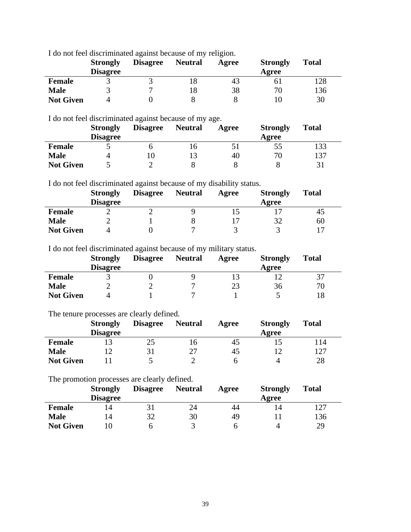I do not feel discriminated against because of my religion.

|                  | <b>Strongly</b><br><b>Disagree</b> | <b>Disagree</b> | <b>Neutral</b> | Agree | <b>Strongly</b><br>Agree | <b>Total</b> |
|------------------|------------------------------------|-----------------|----------------|-------|--------------------------|--------------|
| <b>Female</b>    |                                    |                 |                | 43    |                          | 128          |
| <b>Male</b>      |                                    |                 |                | 38    | 70                       | 136          |
| <b>Not Given</b> |                                    |                 |                |       |                          | 30           |

I do not feel discriminated against because of my age.

|                  | <b>Strongly</b> | <b>Disagree</b> | <b>Neutral</b> | Agree | <b>Strongly</b> | <b>Total</b> |
|------------------|-----------------|-----------------|----------------|-------|-----------------|--------------|
|                  | <b>Disagree</b> |                 |                |       | Agree           |              |
| <b>Female</b>    |                 |                 |                |       | 55              | 133          |
| <b>Male</b>      |                 |                 |                | 40    | 70              | 137          |
| <b>Not Given</b> |                 |                 |                |       |                 |              |

I do not feel discriminated against because of my disability status.

|                  | <b>Strongly</b><br><b>Disagree</b> | <b>Disagree</b> | <b>Neutral</b> | Agree | <b>Strongly</b><br>Agree | <b>Total</b> |
|------------------|------------------------------------|-----------------|----------------|-------|--------------------------|--------------|
| <b>Female</b>    |                                    |                 |                |       |                          | 45           |
| <b>Male</b>      |                                    |                 |                |       |                          | 60           |
| <b>Not Given</b> |                                    |                 |                |       |                          |              |

I do not feel discriminated against because of my military status.

|                  | <b>Strongly</b> | <b>Disagree</b> | <b>Neutral</b> | Agree | <b>Strongly</b> | <b>Total</b> |
|------------------|-----------------|-----------------|----------------|-------|-----------------|--------------|
|                  | <b>Disagree</b> |                 |                |       | Agree           |              |
| <b>Female</b>    |                 |                 |                |       |                 | 37           |
| <b>Male</b>      |                 |                 |                | 23    | 36              | 70           |
| <b>Not Given</b> |                 |                 |                |       |                 | 18           |

#### The tenure processes are clearly defined.

|                  | <b>Strongly</b> | <b>Disagree</b> | <b>Neutral</b> | Agree | <b>Strongly</b> | <b>Total</b> |
|------------------|-----------------|-----------------|----------------|-------|-----------------|--------------|
|                  | <b>Disagree</b> |                 |                |       | Agree           |              |
| <b>Female</b>    |                 | 25              |                | 40    |                 | l 14         |
| <b>Male</b>      |                 |                 |                | 45    |                 | 127          |
| <b>Not Given</b> |                 |                 |                |       |                 | 28           |

The promotion processes are clearly defined.

|                  | <b>Strongly</b> | <b>Disagree</b> | <b>Neutral</b> | Agree | <b>Strongly</b> | <b>Total</b> |
|------------------|-----------------|-----------------|----------------|-------|-----------------|--------------|
|                  | <b>Disagree</b> |                 |                |       | Agree           |              |
| <b>Female</b>    | l4              |                 | 24             | 44    |                 | 127          |
| <b>Male</b>      | 14              | 32              | 30             | 49    |                 | 136          |
| <b>Not Given</b> |                 |                 |                |       |                 | 29           |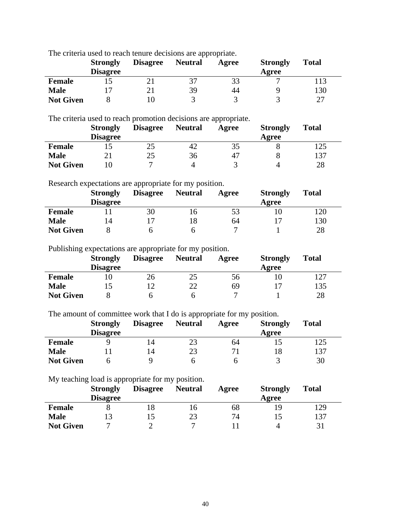The criteria used to reach tenure decisions are appropriate.

|                  | <b>Strongly</b><br><b>Disagree</b> | <b>Disagree</b> | <b>Neutral</b> | Agree | <b>Strongly</b><br>Agree | <b>Total</b> |
|------------------|------------------------------------|-----------------|----------------|-------|--------------------------|--------------|
| <b>Female</b>    |                                    |                 |                | 33    |                          | 113          |
| <b>Male</b>      |                                    |                 | 39             | 44    |                          | 130          |
| <b>Not Given</b> |                                    |                 |                |       |                          | つつ           |

The criteria used to reach promotion decisions are appropriate.

|                  | <b>Strongly</b> | <b>Disagree</b> | <b>Neutral</b> | Agree | <b>Strongly</b> | <b>Total</b> |
|------------------|-----------------|-----------------|----------------|-------|-----------------|--------------|
|                  | <b>Disagree</b> |                 |                |       | Agree           |              |
| <b>Female</b>    |                 | 25              | 42             |       |                 | 125          |
| <b>Male</b>      |                 | 25              | 36             | 47    |                 | 137          |
| <b>Not Given</b> |                 |                 |                |       |                 | 28           |

Research expectations are appropriate for my position.

|                  | <b>Strongly</b> | <b>Disagree</b> | <b>Neutral</b> | Agree | <b>Strongly</b> | <b>Total</b> |
|------------------|-----------------|-----------------|----------------|-------|-----------------|--------------|
|                  | <b>Disagree</b> |                 |                |       | Agree           |              |
| <b>Female</b>    |                 | 30              |                | 53    |                 | 20           |
| <b>Male</b>      | 14              |                 |                | 64    |                 | 130          |
| <b>Not Given</b> |                 |                 |                |       |                 | 28           |

Publishing expectations are appropriate for my position.

|                  | <b>Strongly</b> | <b>Disagree</b> | <b>Neutral</b> | Agree | <b>Strongly</b> | <b>Total</b> |
|------------------|-----------------|-----------------|----------------|-------|-----------------|--------------|
|                  | <b>Disagree</b> |                 |                |       | Agree           |              |
| <b>Female</b>    |                 | 26              | 25             | 56    |                 | 127          |
| <b>Male</b>      |                 |                 | າາ             | 69    |                 | 135          |
| <b>Not Given</b> |                 |                 |                |       |                 | 28           |

The amount of committee work that I do is appropriate for my position.

|                  | <b>Strongly</b><br><b>Disagree</b> | <b>Disagree</b> | <b>Neutral</b> | Agree | <b>Strongly</b><br>Agree | <b>Total</b> |
|------------------|------------------------------------|-----------------|----------------|-------|--------------------------|--------------|
| <b>Female</b>    |                                    | 14              |                | 64    |                          | 125          |
| <b>Male</b>      |                                    | 14              | 23             |       |                          | 137          |
| <b>Not Given</b> |                                    |                 |                |       |                          | 30           |

My teaching load is appropriate for my position.

|                  | <b>Strongly</b> | <b>Disagree</b> | <b>Neutral</b> | Agree | <b>Strongly</b> | <b>Total</b> |
|------------------|-----------------|-----------------|----------------|-------|-----------------|--------------|
|                  | <b>Disagree</b> |                 |                |       | Agree           |              |
| <b>Female</b>    |                 |                 | .6             | 68    |                 | 129          |
| <b>Male</b>      |                 |                 | 23             | 74    |                 | 137          |
| <b>Not Given</b> |                 |                 |                |       |                 |              |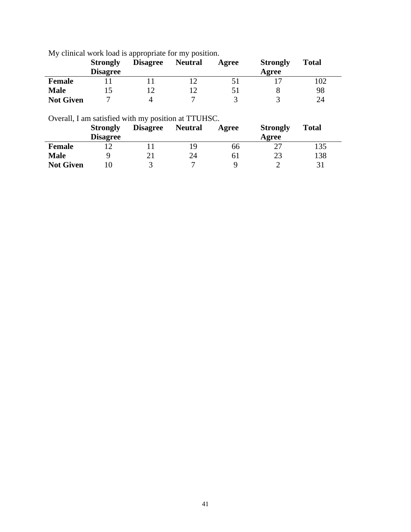My clinical work load is appropriate for my position.

| -                | <b>Strongly</b><br><b>Disagree</b> | <b>Disagree</b> | <b>Neutral</b> | Agree | <b>Strongly</b><br>Agree | <b>Total</b> |
|------------------|------------------------------------|-----------------|----------------|-------|--------------------------|--------------|
| <b>Female</b>    |                                    |                 |                |       |                          | 102          |
| <b>Male</b>      |                                    |                 |                |       |                          | 98           |
| <b>Not Given</b> |                                    |                 |                |       |                          | 24           |

Overall, I am satisfied with my position at TTUHSC.

|                  | <b>Strongly</b><br><b>Disagree</b> | <b>Disagree</b> | <b>Neutral</b> | Agree | <b>Strongly</b><br>Agree | <b>Total</b> |
|------------------|------------------------------------|-----------------|----------------|-------|--------------------------|--------------|
| <b>Female</b>    |                                    |                 |                | 66    |                          | 135          |
| <b>Male</b>      |                                    |                 | 24             | σI    | 23                       | 138          |
| <b>Not Given</b> |                                    |                 |                |       |                          | 31           |